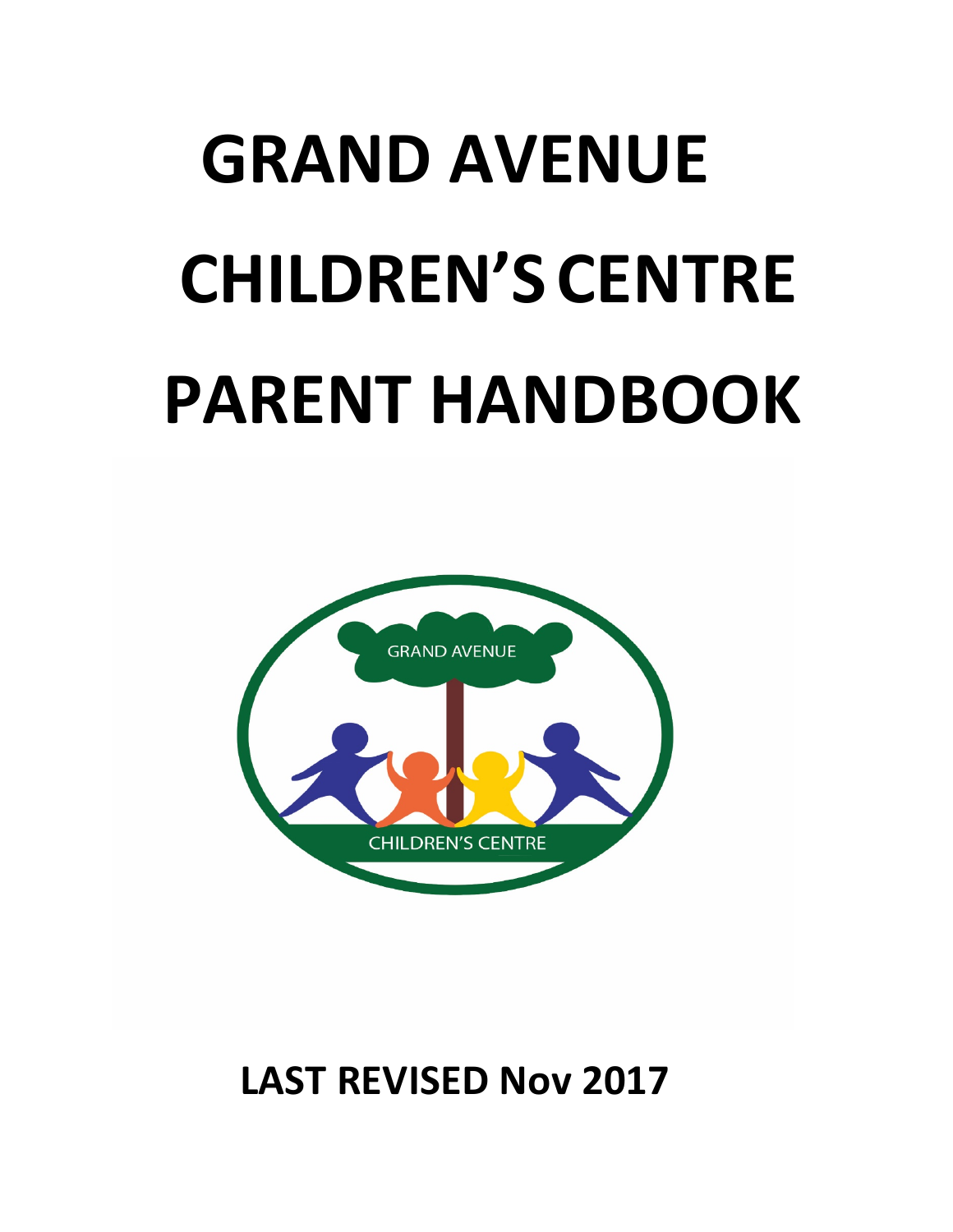# **GRAND AVENUE CHILDREN'SCENTRE PARENT HANDBOOK**



# **LAST REVISED Nov 2017**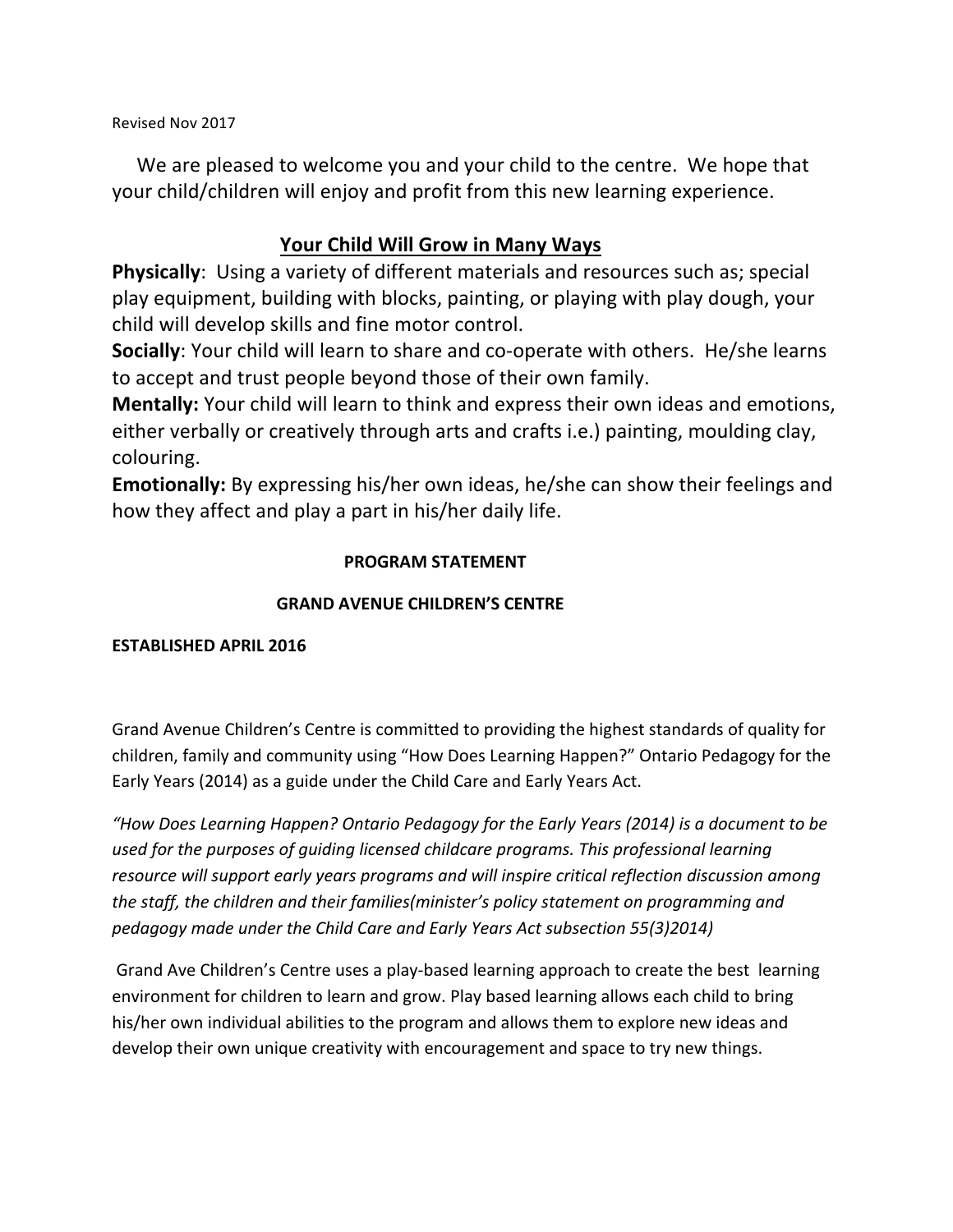Revised Nov 2017

We are pleased to welcome you and your child to the centre. We hope that your child/children will enjoy and profit from this new learning experience.

#### **Your Child Will Grow in Many Ways**

**Physically**: Using a variety of different materials and resources such as; special play equipment, building with blocks, painting, or playing with play dough, your child will develop skills and fine motor control.

**Socially:** Your child will learn to share and co-operate with others. He/she learns to accept and trust people beyond those of their own family.

**Mentally:** Your child will learn to think and express their own ideas and emotions, either verbally or creatively through arts and crafts *i.e.*) painting, moulding clay, colouring.

**Emotionally:** By expressing his/her own ideas, he/she can show their feelings and how they affect and play a part in his/her daily life.

#### **PROGRAM STATEMENT**

#### **GRAND AVENUE CHILDREN'S CENTRE**

#### **ESTABLISHED APRIL 2016**

Grand Avenue Children's Centre is committed to providing the highest standards of quality for children, family and community using "How Does Learning Happen?" Ontario Pedagogy for the Early Years (2014) as a guide under the Child Care and Early Years Act.

"How Does Learning Happen? Ontario Pedagogy for the Early Years (2014) is a document to be used for the purposes of quiding licensed childcare programs. This professional learning resource will support early years programs and will inspire critical reflection discussion among the staff, the children and their families(minister's policy statement on programming and *pedagogy made under the Child Care and Early Years Act subsection 55(3)2014)*

Grand Ave Children's Centre uses a play-based learning approach to create the best learning environment for children to learn and grow. Play based learning allows each child to bring his/her own individual abilities to the program and allows them to explore new ideas and develop their own unique creativity with encouragement and space to try new things.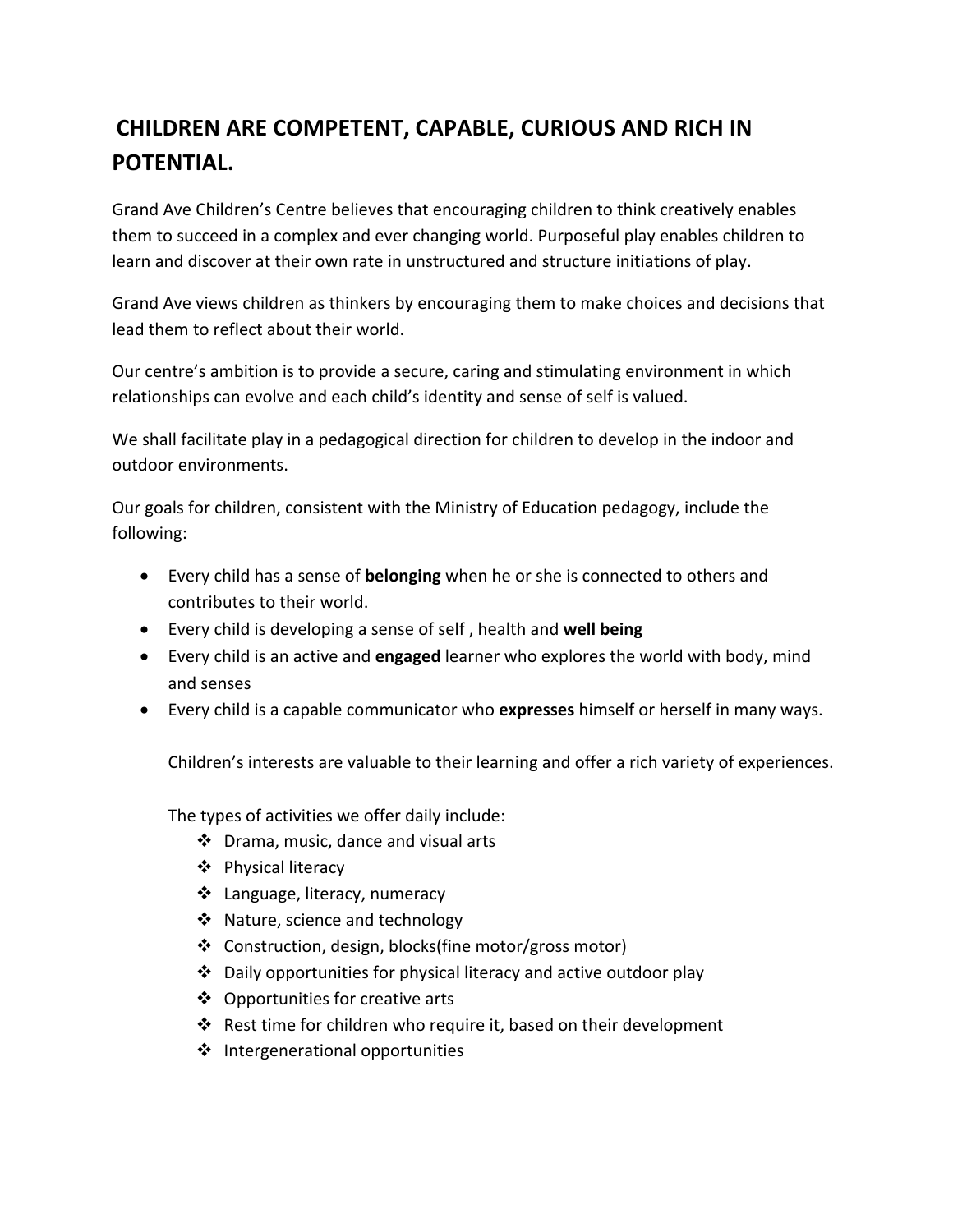# **CHILDREN ARE COMPETENT, CAPABLE, CURIOUS AND RICH IN POTENTIAL.**

Grand Ave Children's Centre believes that encouraging children to think creatively enables them to succeed in a complex and ever changing world. Purposeful play enables children to learn and discover at their own rate in unstructured and structure initiations of play.

Grand Ave views children as thinkers by encouraging them to make choices and decisions that lead them to reflect about their world.

Our centre's ambition is to provide a secure, caring and stimulating environment in which relationships can evolve and each child's identity and sense of self is valued.

We shall facilitate play in a pedagogical direction for children to develop in the indoor and outdoor environments.

Our goals for children, consistent with the Ministry of Education pedagogy, include the following:

- Every child has a sense of **belonging** when he or she is connected to others and contributes to their world.
- Every child is developing a sense of self, health and **well being**
- Every child is an active and **engaged** learner who explores the world with body, mind and senses
- Every child is a capable communicator who **expresses** himself or herself in many ways.

Children's interests are valuable to their learning and offer a rich variety of experiences.

The types of activities we offer daily include:

- $\div$  Drama, music, dance and visual arts
- ❖ Physical literacy
- ❖ Language, literacy, numeracy
- ❖ Nature, science and technology
- ❖ Construction, design, blocks(fine motor/gross motor)
- $\cdot$  Daily opportunities for physical literacy and active outdoor play
- $\clubsuit$  Opportunities for creative arts
- $\cdot$  Rest time for children who require it, based on their development
- $\cdot$  Intergenerational opportunities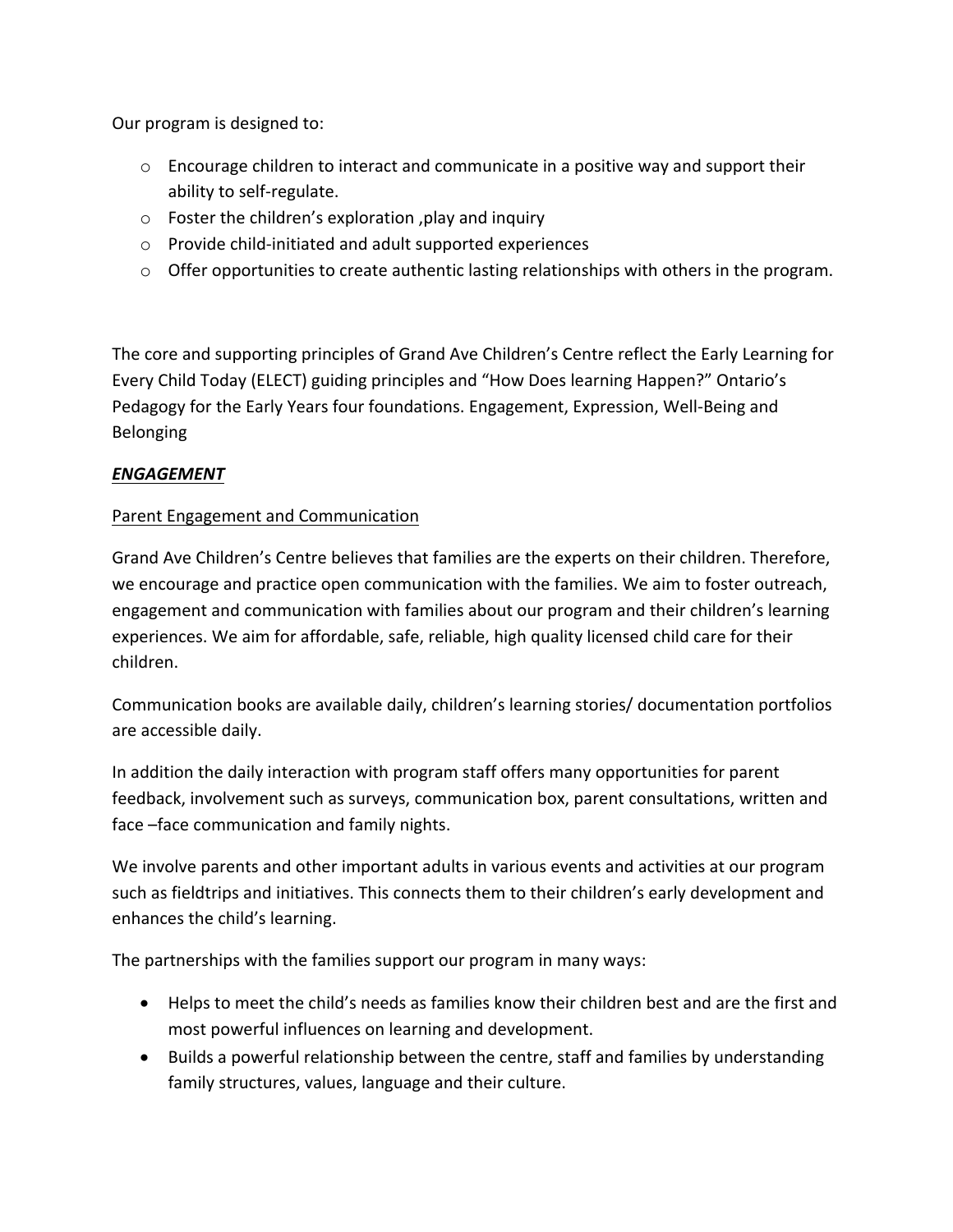Our program is designed to:

- $\circ$  Encourage children to interact and communicate in a positive way and support their ability to self-regulate.
- $\circ$  Foster the children's exploration , play and inquiry
- $\circ$  Provide child-initiated and adult supported experiences
- $\circ$  Offer opportunities to create authentic lasting relationships with others in the program.

The core and supporting principles of Grand Ave Children's Centre reflect the Early Learning for Every Child Today (ELECT) guiding principles and "How Does learning Happen?" Ontario's Pedagogy for the Early Years four foundations. Engagement, Expression, Well-Being and Belonging

#### *ENGAGEMENT*

#### Parent Engagement and Communication

Grand Ave Children's Centre believes that families are the experts on their children. Therefore, we encourage and practice open communication with the families. We aim to foster outreach, engagement and communication with families about our program and their children's learning experiences. We aim for affordable, safe, reliable, high quality licensed child care for their children.

Communication books are available daily, children's learning stories/ documentation portfolios are accessible daily.

In addition the daily interaction with program staff offers many opportunities for parent feedback, involvement such as surveys, communication box, parent consultations, written and face –face communication and family nights.

We involve parents and other important adults in various events and activities at our program such as fieldtrips and initiatives. This connects them to their children's early development and enhances the child's learning.

The partnerships with the families support our program in many ways:

- Helps to meet the child's needs as families know their children best and are the first and most powerful influences on learning and development.
- Builds a powerful relationship between the centre, staff and families by understanding family structures, values, language and their culture.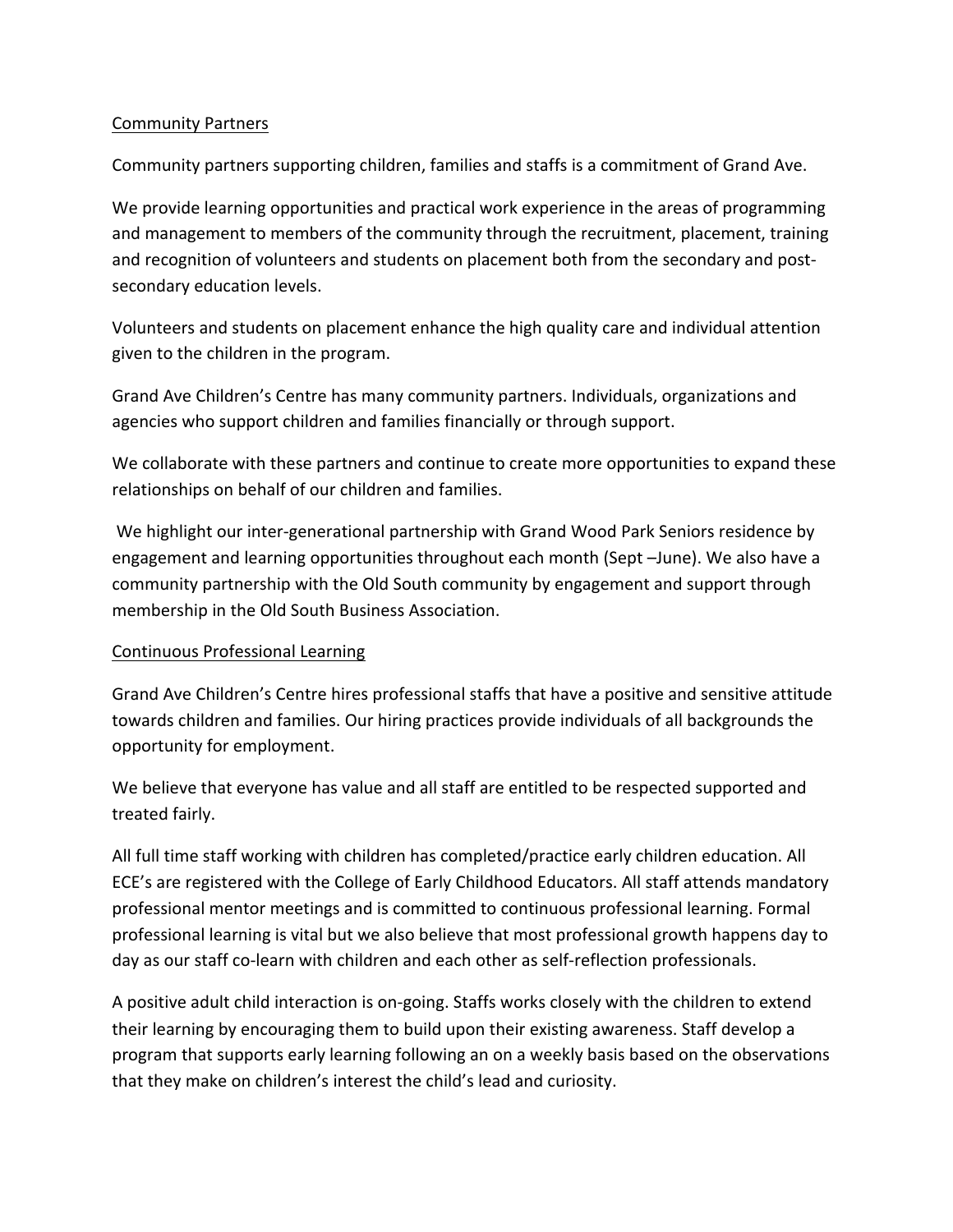#### Community Partners

Community partners supporting children, families and staffs is a commitment of Grand Ave.

We provide learning opportunities and practical work experience in the areas of programming and management to members of the community through the recruitment, placement, training and recognition of volunteers and students on placement both from the secondary and postsecondary education levels.

Volunteers and students on placement enhance the high quality care and individual attention given to the children in the program.

Grand Ave Children's Centre has many community partners. Individuals, organizations and agencies who support children and families financially or through support.

We collaborate with these partners and continue to create more opportunities to expand these relationships on behalf of our children and families.

We highlight our inter-generational partnership with Grand Wood Park Seniors residence by engagement and learning opportunities throughout each month (Sept -June). We also have a community partnership with the Old South community by engagement and support through membership in the Old South Business Association.

#### Continuous Professional Learning

Grand Ave Children's Centre hires professional staffs that have a positive and sensitive attitude towards children and families. Our hiring practices provide individuals of all backgrounds the opportunity for employment.

We believe that everyone has value and all staff are entitled to be respected supported and treated fairly.

All full time staff working with children has completed/practice early children education. All ECE's are registered with the College of Early Childhood Educators. All staff attends mandatory professional mentor meetings and is committed to continuous professional learning. Formal professional learning is vital but we also believe that most professional growth happens day to day as our staff co-learn with children and each other as self-reflection professionals.

A positive adult child interaction is on-going. Staffs works closely with the children to extend their learning by encouraging them to build upon their existing awareness. Staff develop a program that supports early learning following an on a weekly basis based on the observations that they make on children's interest the child's lead and curiosity.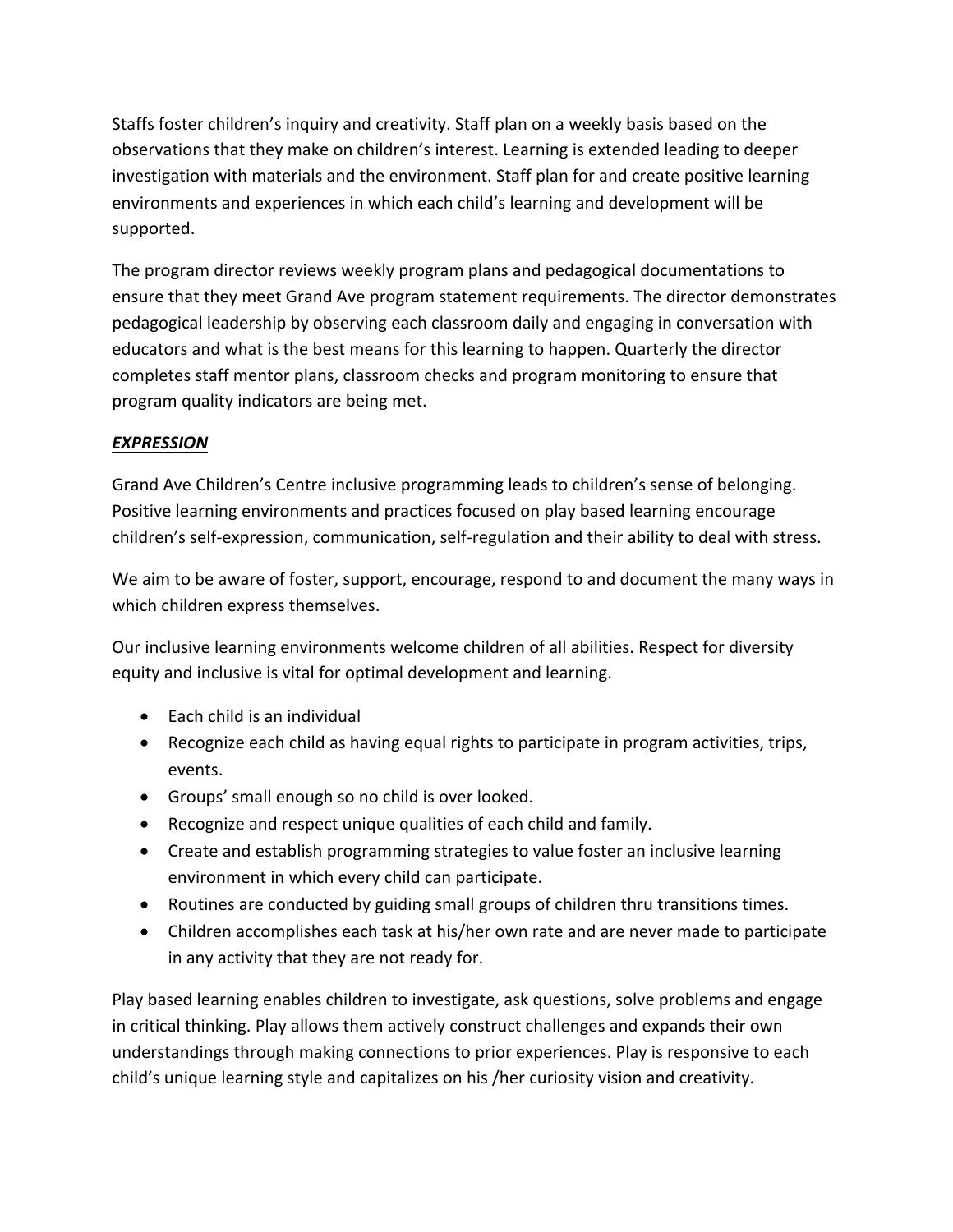Staffs foster children's inquiry and creativity. Staff plan on a weekly basis based on the observations that they make on children's interest. Learning is extended leading to deeper investigation with materials and the environment. Staff plan for and create positive learning environments and experiences in which each child's learning and development will be supported.

The program director reviews weekly program plans and pedagogical documentations to ensure that they meet Grand Ave program statement requirements. The director demonstrates pedagogical leadership by observing each classroom daily and engaging in conversation with educators and what is the best means for this learning to happen. Quarterly the director completes staff mentor plans, classroom checks and program monitoring to ensure that program quality indicators are being met.

#### *EXPRESSION*

Grand Ave Children's Centre inclusive programming leads to children's sense of belonging. Positive learning environments and practices focused on play based learning encourage children's self-expression, communication, self-regulation and their ability to deal with stress.

We aim to be aware of foster, support, encourage, respond to and document the many ways in which children express themselves.

Our inclusive learning environments welcome children of all abilities. Respect for diversity equity and inclusive is vital for optimal development and learning.

- Each child is an individual
- Recognize each child as having equal rights to participate in program activities, trips, events.
- Groups' small enough so no child is over looked.
- Recognize and respect unique qualities of each child and family.
- Create and establish programming strategies to value foster an inclusive learning environment in which every child can participate.
- Routines are conducted by guiding small groups of children thru transitions times.
- Children accomplishes each task at his/her own rate and are never made to participate in any activity that they are not ready for.

Play based learning enables children to investigate, ask questions, solve problems and engage in critical thinking. Play allows them actively construct challenges and expands their own understandings through making connections to prior experiences. Play is responsive to each child's unique learning style and capitalizes on his /her curiosity vision and creativity.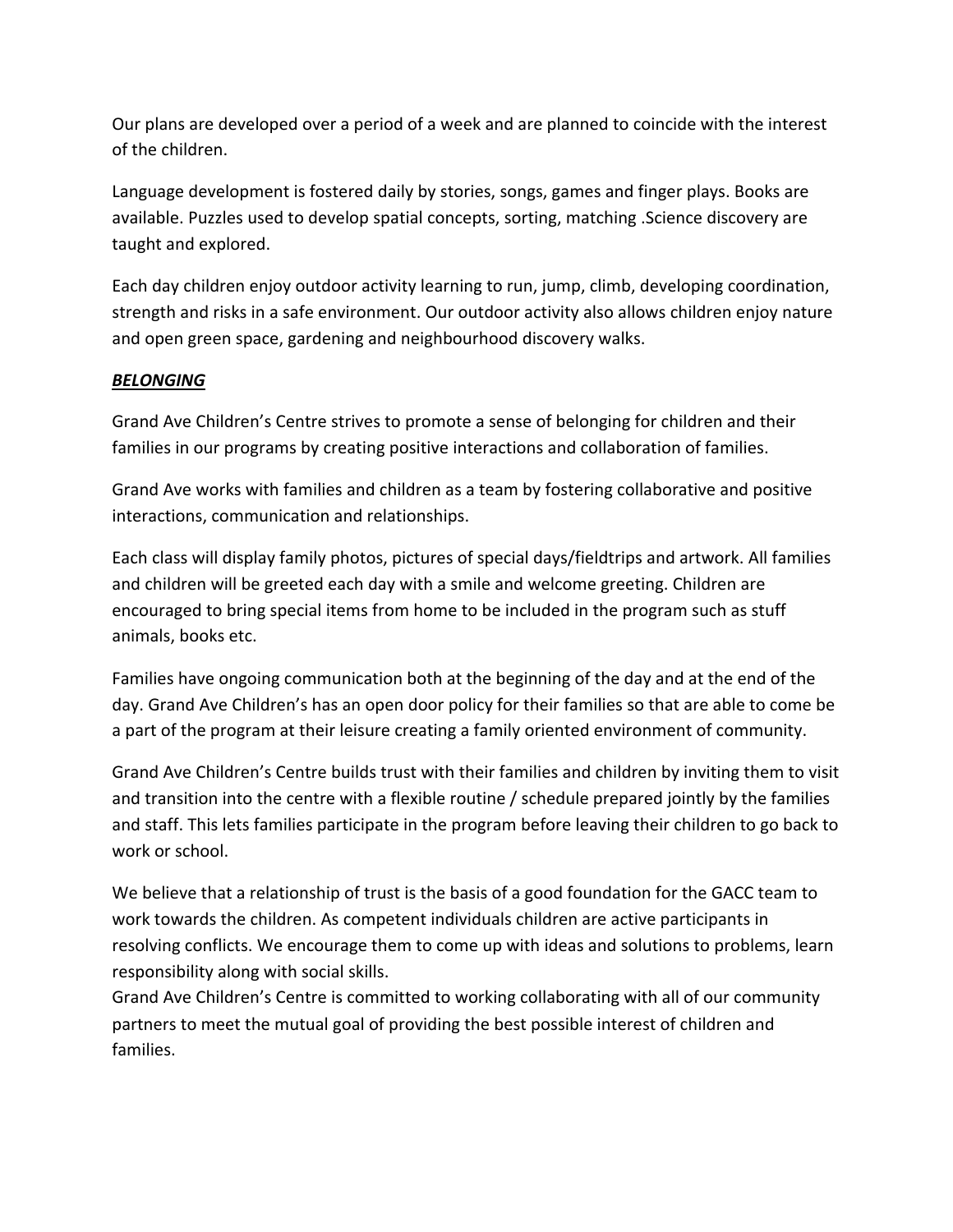Our plans are developed over a period of a week and are planned to coincide with the interest of the children.

Language development is fostered daily by stories, songs, games and finger plays. Books are available. Puzzles used to develop spatial concepts, sorting, matching . Science discovery are taught and explored.

Each day children enjoy outdoor activity learning to run, jump, climb, developing coordination, strength and risks in a safe environment. Our outdoor activity also allows children enjoy nature and open green space, gardening and neighbourhood discovery walks.

#### *BELONGING*

Grand Ave Children's Centre strives to promote a sense of belonging for children and their families in our programs by creating positive interactions and collaboration of families.

Grand Ave works with families and children as a team by fostering collaborative and positive interactions, communication and relationships.

Each class will display family photos, pictures of special days/fieldtrips and artwork. All families and children will be greeted each day with a smile and welcome greeting. Children are encouraged to bring special items from home to be included in the program such as stuff animals, books etc.

Families have ongoing communication both at the beginning of the day and at the end of the day. Grand Ave Children's has an open door policy for their families so that are able to come be a part of the program at their leisure creating a family oriented environment of community.

Grand Ave Children's Centre builds trust with their families and children by inviting them to visit and transition into the centre with a flexible routine  $/$  schedule prepared jointly by the families and staff. This lets families participate in the program before leaving their children to go back to work or school.

We believe that a relationship of trust is the basis of a good foundation for the GACC team to work towards the children. As competent individuals children are active participants in resolving conflicts. We encourage them to come up with ideas and solutions to problems, learn responsibility along with social skills.

Grand Ave Children's Centre is committed to working collaborating with all of our community partners to meet the mutual goal of providing the best possible interest of children and families.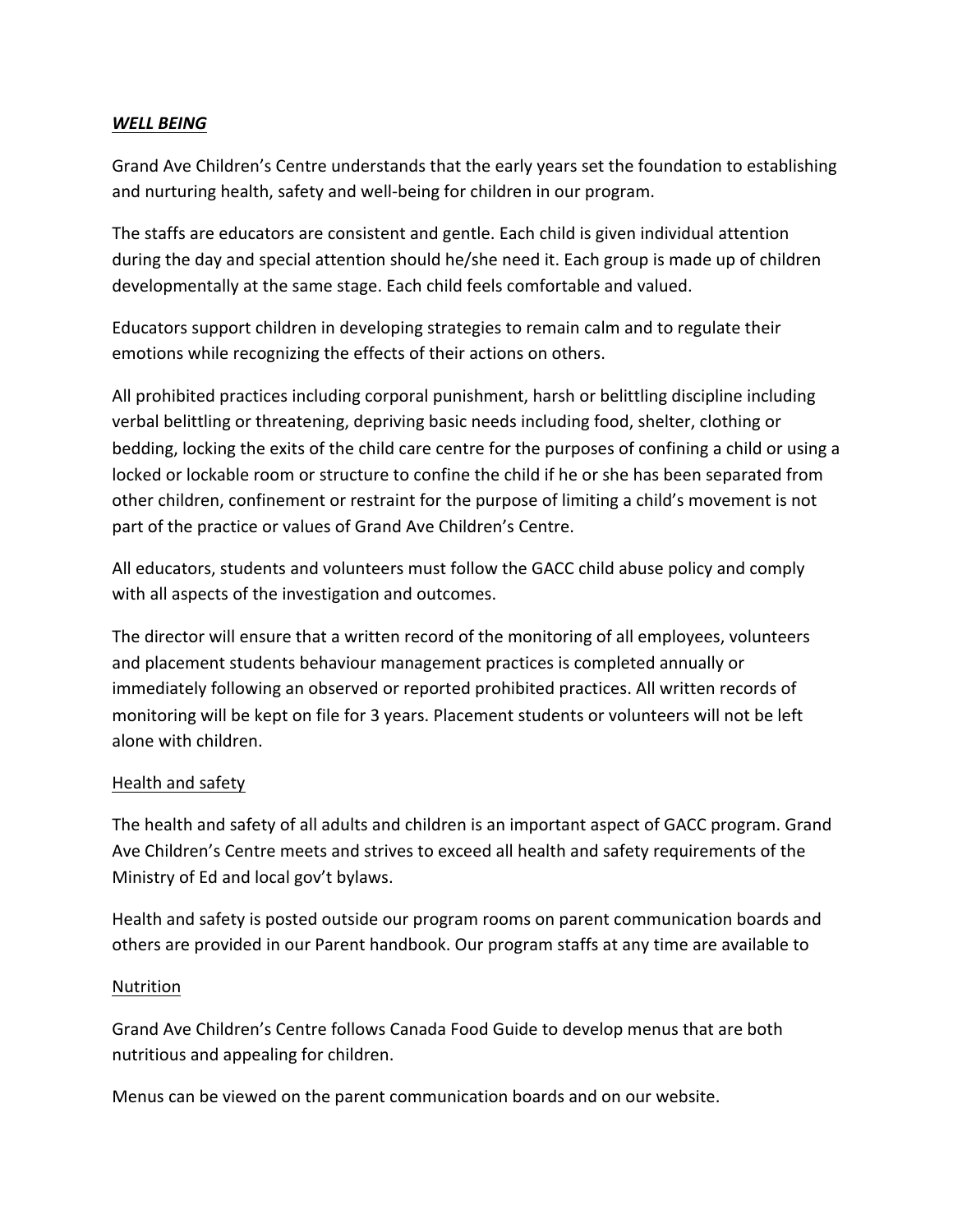#### *WELL BEING*

Grand Ave Children's Centre understands that the early years set the foundation to establishing and nurturing health, safety and well-being for children in our program.

The staffs are educators are consistent and gentle. Each child is given individual attention during the day and special attention should he/she need it. Each group is made up of children developmentally at the same stage. Each child feels comfortable and valued.

Educators support children in developing strategies to remain calm and to regulate their emotions while recognizing the effects of their actions on others.

All prohibited practices including corporal punishment, harsh or belittling discipline including verbal belittling or threatening, depriving basic needs including food, shelter, clothing or bedding, locking the exits of the child care centre for the purposes of confining a child or using a locked or lockable room or structure to confine the child if he or she has been separated from other children, confinement or restraint for the purpose of limiting a child's movement is not part of the practice or values of Grand Ave Children's Centre.

All educators, students and volunteers must follow the GACC child abuse policy and comply with all aspects of the investigation and outcomes.

The director will ensure that a written record of the monitoring of all employees, volunteers and placement students behaviour management practices is completed annually or immediately following an observed or reported prohibited practices. All written records of monitoring will be kept on file for 3 years. Placement students or volunteers will not be left alone with children.

#### Health and safety

The health and safety of all adults and children is an important aspect of GACC program. Grand Ave Children's Centre meets and strives to exceed all health and safety requirements of the Ministry of Ed and local gov't bylaws.

Health and safety is posted outside our program rooms on parent communication boards and others are provided in our Parent handbook. Our program staffs at any time are available to

#### Nutrition

Grand Ave Children's Centre follows Canada Food Guide to develop menus that are both nutritious and appealing for children.

Menus can be viewed on the parent communication boards and on our website.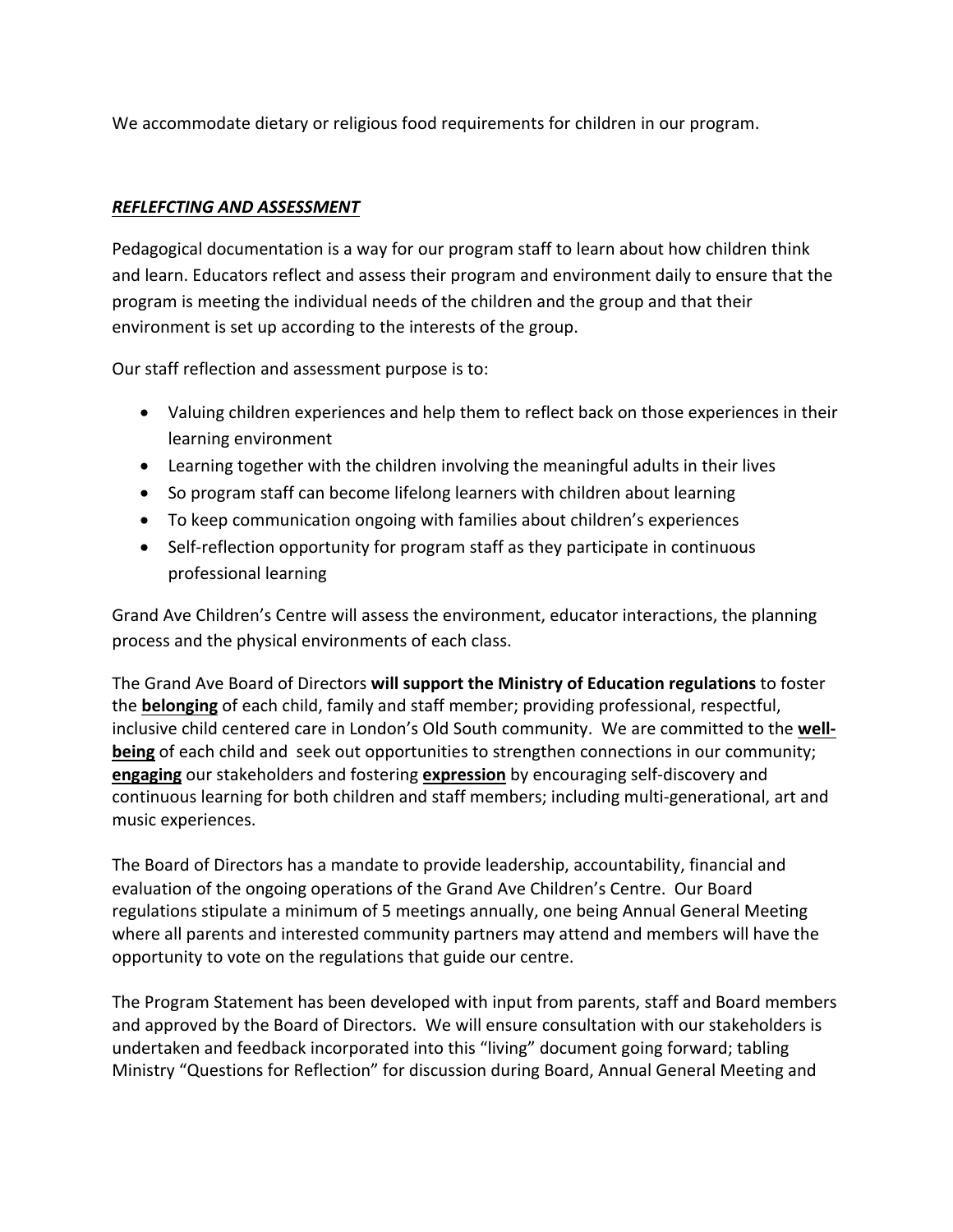We accommodate dietary or religious food requirements for children in our program.

#### *REFLEFCTING AND ASSESSMENT*

Pedagogical documentation is a way for our program staff to learn about how children think and learn. Educators reflect and assess their program and environment daily to ensure that the program is meeting the individual needs of the children and the group and that their environment is set up according to the interests of the group.

Our staff reflection and assessment purpose is to:

- Valuing children experiences and help them to reflect back on those experiences in their learning environment
- Learning together with the children involving the meaningful adults in their lives
- So program staff can become lifelong learners with children about learning
- To keep communication ongoing with families about children's experiences
- Self-reflection opportunity for program staff as they participate in continuous professional learning

Grand Ave Children's Centre will assess the environment, educator interactions, the planning process and the physical environments of each class.

The Grand Ave Board of Directors will support the Ministry of Education regulations to foster the **belonging** of each child, family and staff member; providing professional, respectful, inclusive child centered care in London's Old South community. We are committed to the well**being** of each child and seek out opportunities to strengthen connections in our community; **engaging** our stakeholders and fostering **expression** by encouraging self-discovery and continuous learning for both children and staff members; including multi-generational, art and music experiences.

The Board of Directors has a mandate to provide leadership, accountability, financial and evaluation of the ongoing operations of the Grand Ave Children's Centre. Our Board regulations stipulate a minimum of 5 meetings annually, one being Annual General Meeting where all parents and interested community partners may attend and members will have the opportunity to vote on the regulations that guide our centre.

The Program Statement has been developed with input from parents, staff and Board members and approved by the Board of Directors. We will ensure consultation with our stakeholders is undertaken and feedback incorporated into this "living" document going forward; tabling Ministry "Questions for Reflection" for discussion during Board, Annual General Meeting and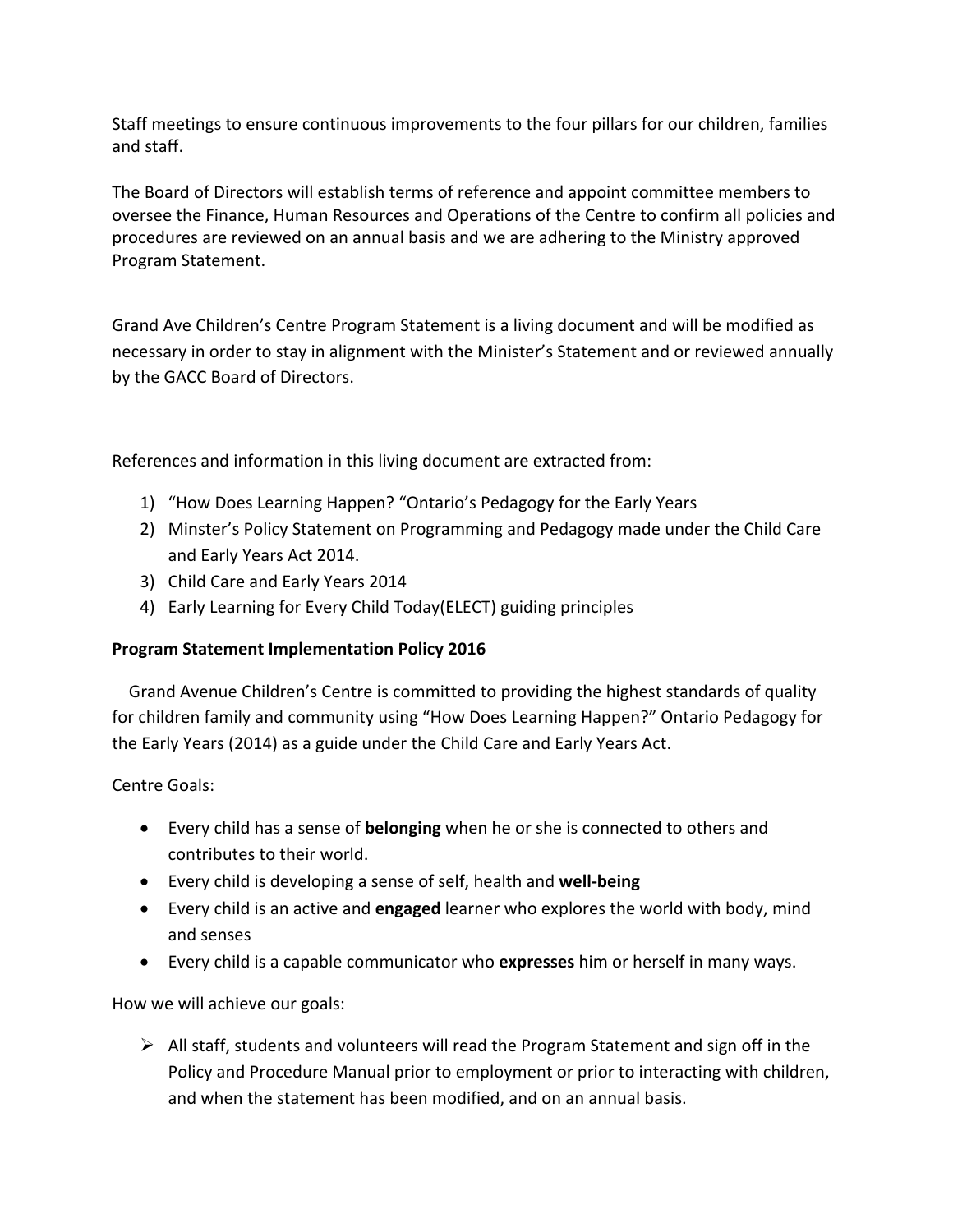Staff meetings to ensure continuous improvements to the four pillars for our children, families and staff.

The Board of Directors will establish terms of reference and appoint committee members to oversee the Finance, Human Resources and Operations of the Centre to confirm all policies and procedures are reviewed on an annual basis and we are adhering to the Ministry approved Program Statement. 

Grand Ave Children's Centre Program Statement is a living document and will be modified as necessary in order to stay in alignment with the Minister's Statement and or reviewed annually by the GACC Board of Directors.

References and information in this living document are extracted from:

- 1) "How Does Learning Happen? "Ontario's Pedagogy for the Early Years
- 2) Minster's Policy Statement on Programming and Pedagogy made under the Child Care and Early Years Act 2014.
- 3) Child Care and Early Years 2014
- 4) Early Learning for Every Child Today(ELECT) guiding principles

#### **Program Statement Implementation Policy 2016**

Grand Avenue Children's Centre is committed to providing the highest standards of quality for children family and community using "How Does Learning Happen?" Ontario Pedagogy for the Early Years (2014) as a guide under the Child Care and Early Years Act.

Centre Goals:

- Every child has a sense of **belonging** when he or she is connected to others and contributes to their world.
- Every child is developing a sense of self, health and **well-being**
- Every child is an active and **engaged** learner who explores the world with body, mind and senses
- Every child is a capable communicator who **expresses** him or herself in many ways.

How we will achieve our goals:

 $\triangleright$  All staff, students and volunteers will read the Program Statement and sign off in the Policy and Procedure Manual prior to employment or prior to interacting with children, and when the statement has been modified, and on an annual basis.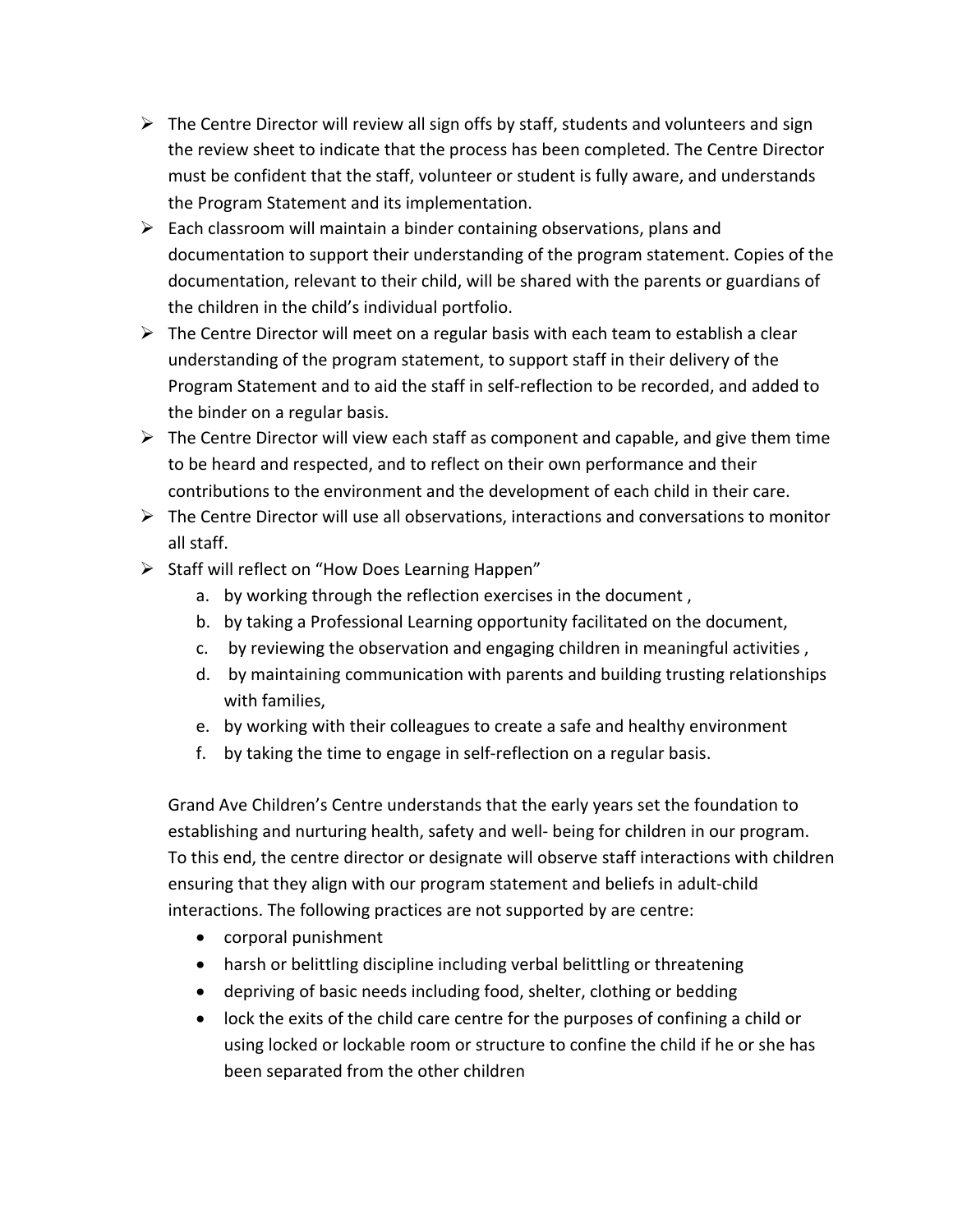- $\triangleright$  The Centre Director will review all sign offs by staff, students and volunteers and sign the review sheet to indicate that the process has been completed. The Centre Director must be confident that the staff, volunteer or student is fully aware, and understands the Program Statement and its implementation.
- $\triangleright$  Each classroom will maintain a binder containing observations, plans and documentation to support their understanding of the program statement. Copies of the documentation, relevant to their child, will be shared with the parents or guardians of the children in the child's individual portfolio.
- $\triangleright$  The Centre Director will meet on a regular basis with each team to establish a clear understanding of the program statement, to support staff in their delivery of the Program Statement and to aid the staff in self-reflection to be recorded, and added to the binder on a regular basis.
- $\triangleright$  The Centre Director will view each staff as component and capable, and give them time to be heard and respected, and to reflect on their own performance and their contributions to the environment and the development of each child in their care.
- $\triangleright$  The Centre Director will use all observations, interactions and conversations to monitor all staff.
- $\triangleright$  Staff will reflect on "How Does Learning Happen"
	- a. by working through the reflection exercises in the document,
	- b. by taking a Professional Learning opportunity facilitated on the document,
	- c. by reviewing the observation and engaging children in meaningful activities,
	- d. by maintaining communication with parents and building trusting relationships with families,
	- e. by working with their colleagues to create a safe and healthy environment
	- f. by taking the time to engage in self-reflection on a regular basis.

Grand Ave Children's Centre understands that the early years set the foundation to establishing and nurturing health, safety and well- being for children in our program. To this end, the centre director or designate will observe staff interactions with children ensuring that they align with our program statement and beliefs in adult-child interactions. The following practices are not supported by are centre:

- corporal punishment
- harsh or belittling discipline including verbal belittling or threatening
- depriving of basic needs including food, shelter, clothing or bedding
- lock the exits of the child care centre for the purposes of confining a child or using locked or lockable room or structure to confine the child if he or she has been separated from the other children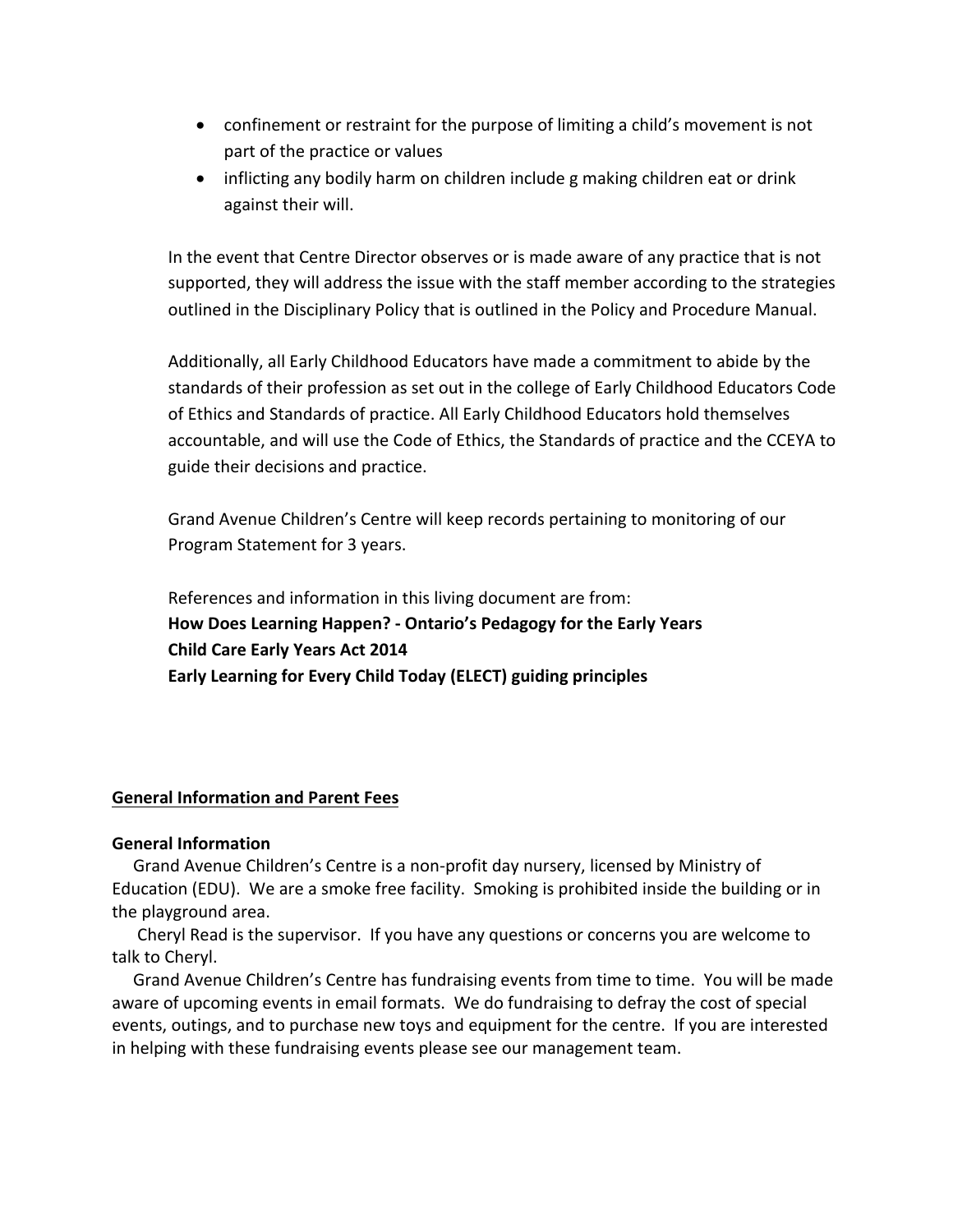- confinement or restraint for the purpose of limiting a child's movement is not part of the practice or values
- inflicting any bodily harm on children include g making children eat or drink against their will.

In the event that Centre Director observes or is made aware of any practice that is not supported, they will address the issue with the staff member according to the strategies outlined in the Disciplinary Policy that is outlined in the Policy and Procedure Manual.

Additionally, all Early Childhood Educators have made a commitment to abide by the standards of their profession as set out in the college of Early Childhood Educators Code of Ethics and Standards of practice. All Early Childhood Educators hold themselves accountable, and will use the Code of Ethics, the Standards of practice and the CCEYA to guide their decisions and practice.

Grand Avenue Children's Centre will keep records pertaining to monitoring of our Program Statement for 3 years.

References and information in this living document are from: How Does Learning Happen? - Ontario's Pedagogy for the Early Years **Child Care Early Years Act 2014** Early Learning for Every Child Today (ELECT) guiding principles

#### **General Information and Parent Fees**

#### **General Information**

Grand Avenue Children's Centre is a non-profit day nursery, licensed by Ministry of Education (EDU). We are a smoke free facility. Smoking is prohibited inside the building or in the playground area.

Cheryl Read is the supervisor. If you have any questions or concerns you are welcome to talk to Cheryl.

Grand Avenue Children's Centre has fundraising events from time to time. You will be made aware of upcoming events in email formats. We do fundraising to defray the cost of special events, outings, and to purchase new toys and equipment for the centre. If you are interested in helping with these fundraising events please see our management team.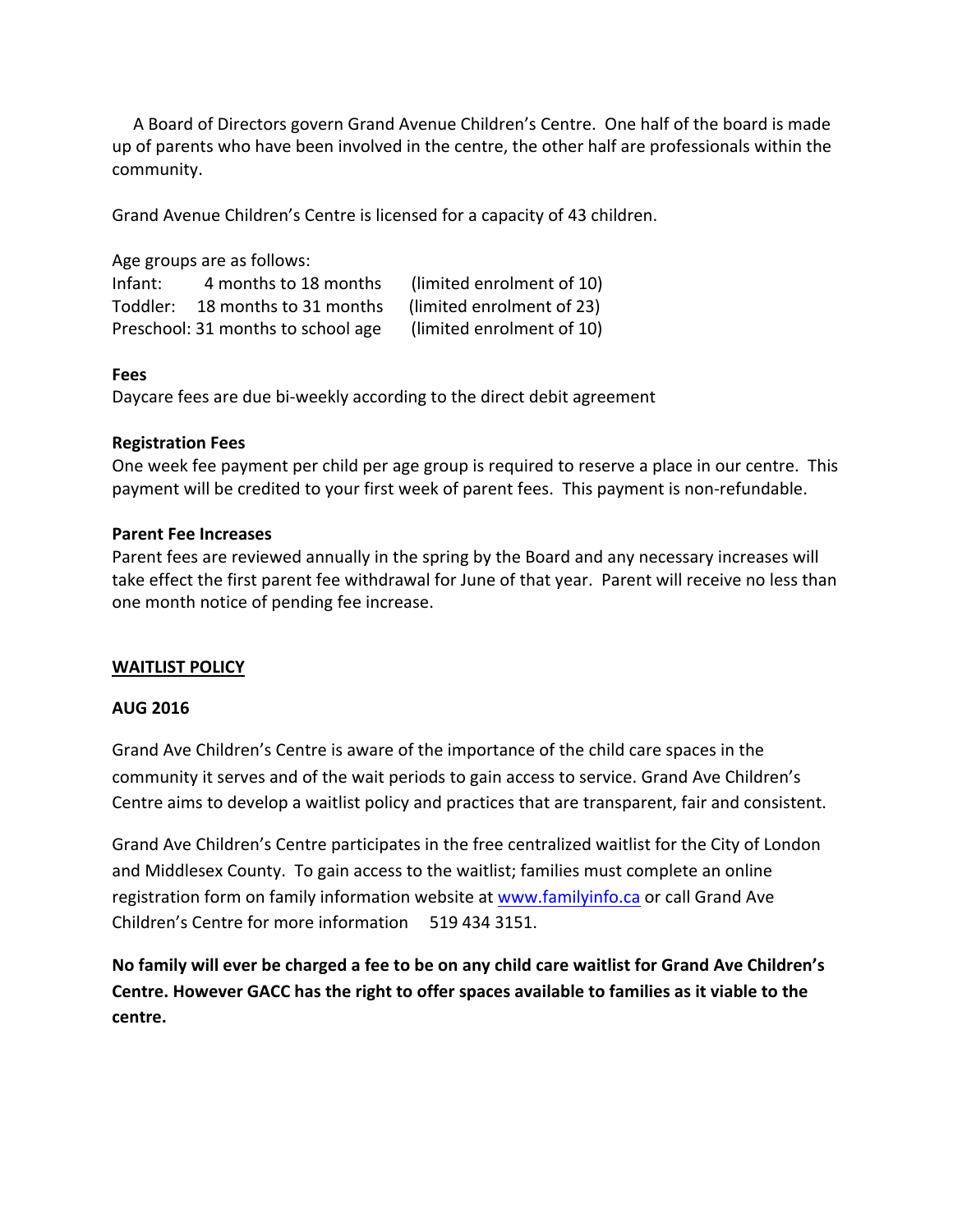A Board of Directors govern Grand Avenue Children's Centre. One half of the board is made up of parents who have been involved in the centre, the other half are professionals within the community.

Grand Avenue Children's Centre is licensed for a capacity of 43 children.

Age groups are as follows:

Infant:  $\frac{4 \text{ months}}{18 \text{ months}}$  (limited enrolment of 10) Toddler: 18 months to 31 months (limited enrolment of 23) Preschool: 31 months to school age (limited enrolment of 10)

#### **Fees**

Daycare fees are due bi-weekly according to the direct debit agreement

#### **Registration Fees**

One week fee payment per child per age group is required to reserve a place in our centre. This payment will be credited to your first week of parent fees. This payment is non-refundable.

#### **Parent Fee Increases**

Parent fees are reviewed annually in the spring by the Board and any necessary increases will take effect the first parent fee withdrawal for June of that year. Parent will receive no less than one month notice of pending fee increase.

#### **WAITLIST POLICY**

#### **AUG 2016**

Grand Ave Children's Centre is aware of the importance of the child care spaces in the community it serves and of the wait periods to gain access to service. Grand Ave Children's Centre aims to develop a waitlist policy and practices that are transparent, fair and consistent.

Grand Ave Children's Centre participates in the free centralized waitlist for the City of London and Middlesex County. To gain access to the waitlist; families must complete an online registration form on family information website at www.familyinfo.ca or call Grand Ave Children's Centre for more information 519 434 3151.

No family will ever be charged a fee to be on any child care waitlist for Grand Ave Children's Centre. However GACC has the right to offer spaces available to families as it viable to the **centre.**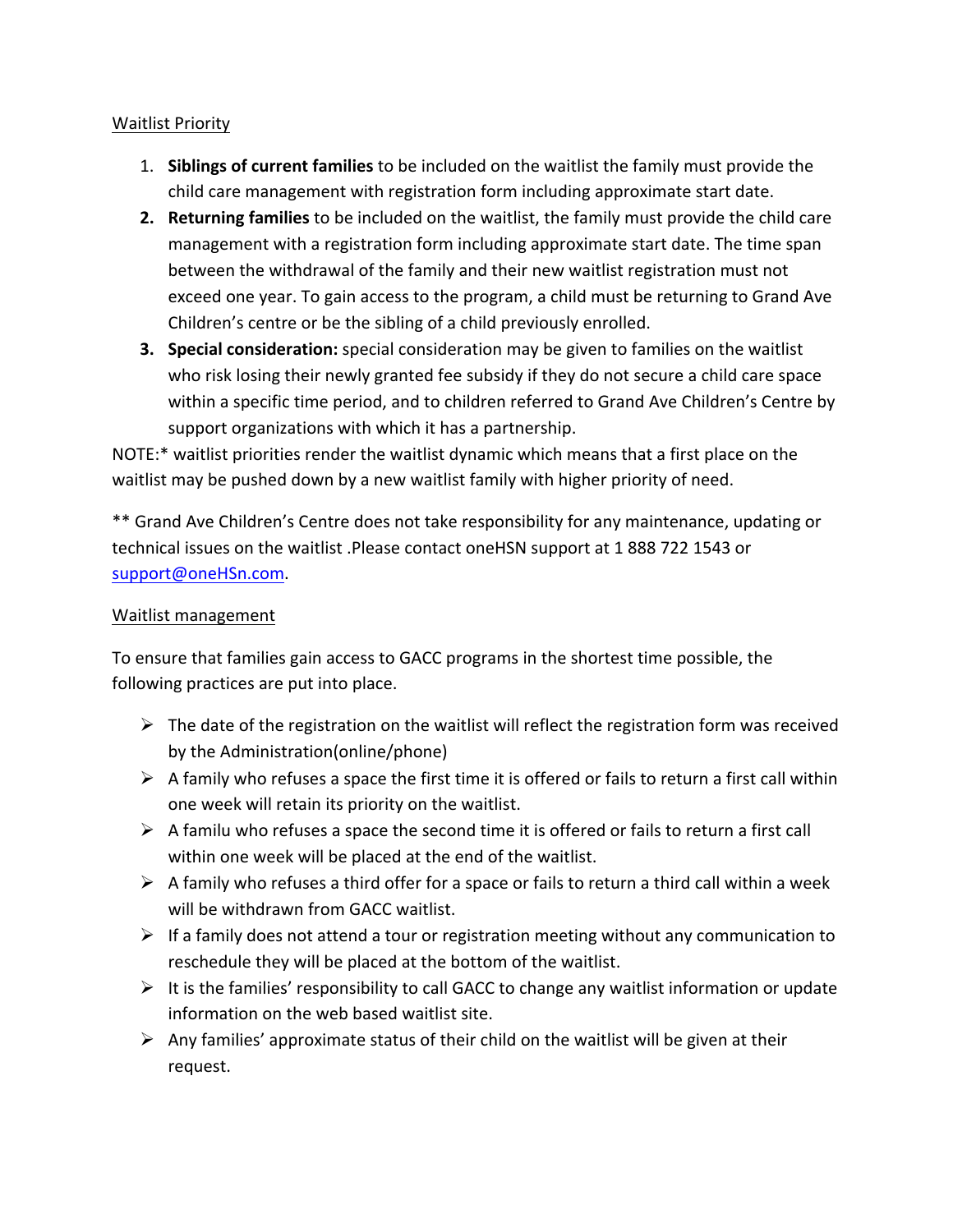#### Waitlist Priority

- 1. Siblings of current families to be included on the waitlist the family must provide the child care management with registration form including approximate start date.
- **2.** Returning families to be included on the waitlist, the family must provide the child care management with a registration form including approximate start date. The time span between the withdrawal of the family and their new waitlist registration must not exceed one year. To gain access to the program, a child must be returning to Grand Ave Children's centre or be the sibling of a child previously enrolled.
- **3. Special consideration:** special consideration may be given to families on the waitlist who risk losing their newly granted fee subsidy if they do not secure a child care space within a specific time period, and to children referred to Grand Ave Children's Centre by support organizations with which it has a partnership.

NOTE:\* waitlist priorities render the waitlist dynamic which means that a first place on the waitlist may be pushed down by a new waitlist family with higher priority of need.

\*\* Grand Ave Children's Centre does not take responsibility for any maintenance, updating or technical issues on the waitlist .Please contact oneHSN support at 1 888 722 1543 or support@oneHSn.com.

#### Waitlist management

To ensure that families gain access to GACC programs in the shortest time possible, the following practices are put into place.

- $\triangleright$  The date of the registration on the waitlist will reflect the registration form was received by the Administration(online/phone)
- $\triangleright$  A family who refuses a space the first time it is offered or fails to return a first call within one week will retain its priority on the waitlist.
- $\triangleright$  A familu who refuses a space the second time it is offered or fails to return a first call within one week will be placed at the end of the waitlist.
- $\triangleright$  A family who refuses a third offer for a space or fails to return a third call within a week will be withdrawn from GACC waitlist.
- $\triangleright$  If a family does not attend a tour or registration meeting without any communication to reschedule they will be placed at the bottom of the waitlist.
- $\triangleright$  It is the families' responsibility to call GACC to change any waitlist information or update information on the web based waitlist site.
- $\triangleright$  Any families' approximate status of their child on the waitlist will be given at their request.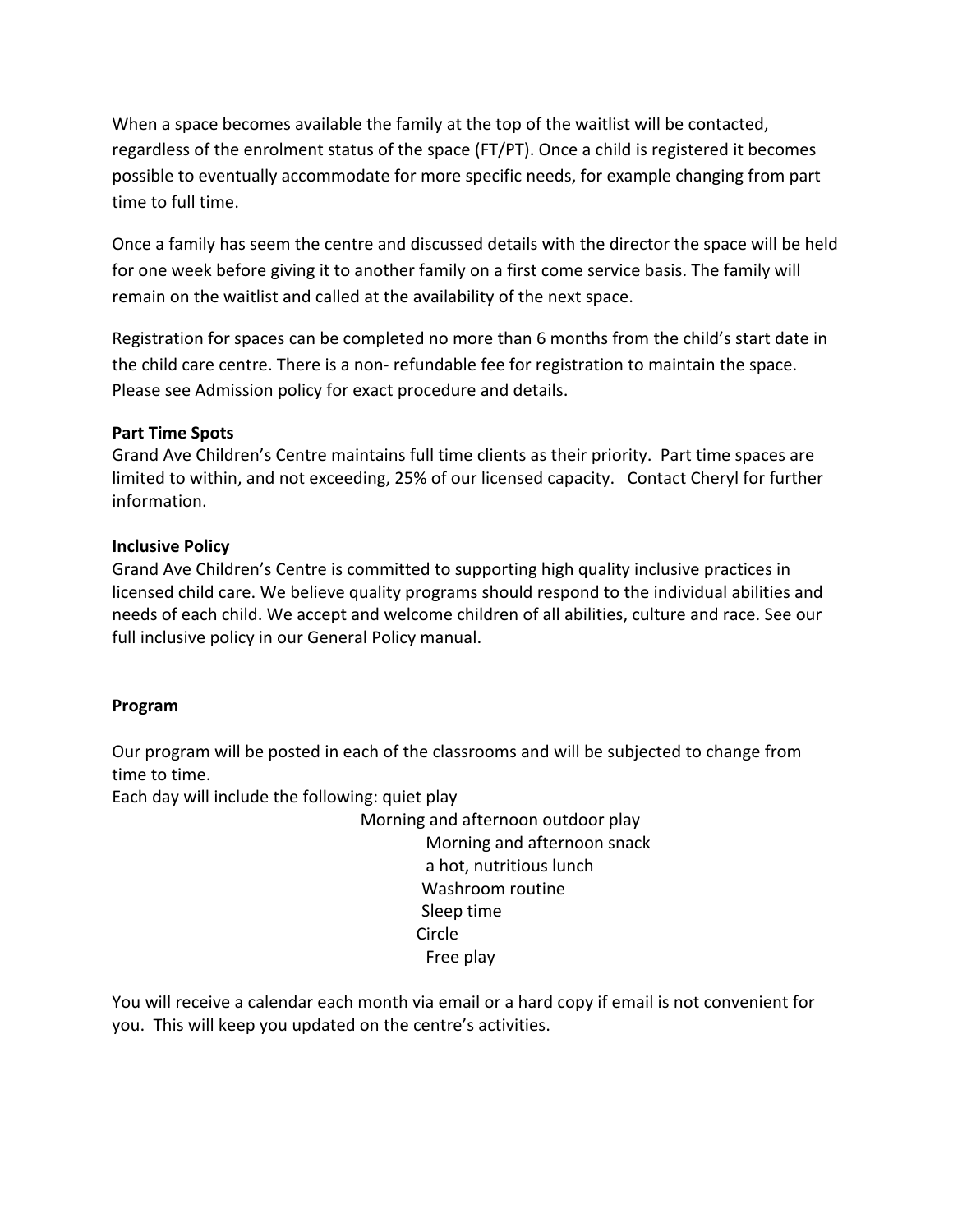When a space becomes available the family at the top of the waitlist will be contacted, regardless of the enrolment status of the space (FT/PT). Once a child is registered it becomes possible to eventually accommodate for more specific needs, for example changing from part time to full time.

Once a family has seem the centre and discussed details with the director the space will be held for one week before giving it to another family on a first come service basis. The family will remain on the waitlist and called at the availability of the next space.

Registration for spaces can be completed no more than 6 months from the child's start date in the child care centre. There is a non- refundable fee for registration to maintain the space. Please see Admission policy for exact procedure and details.

#### **Part Time Spots**

Grand Ave Children's Centre maintains full time clients as their priority. Part time spaces are limited to within, and not exceeding, 25% of our licensed capacity. Contact Cheryl for further information.

#### **Inclusive Policy**

Grand Ave Children's Centre is committed to supporting high quality inclusive practices in licensed child care. We believe quality programs should respond to the individual abilities and needs of each child. We accept and welcome children of all abilities, culture and race. See our full inclusive policy in our General Policy manual.

#### **Program**

Our program will be posted in each of the classrooms and will be subjected to change from time to time.

Each day will include the following: quiet play

Morning and afternoon outdoor play Morning and afternoon snack a hot, nutritious lunch Washroom routine Sleep time Circle Free play

You will receive a calendar each month via email or a hard copy if email is not convenient for you. This will keep you updated on the centre's activities.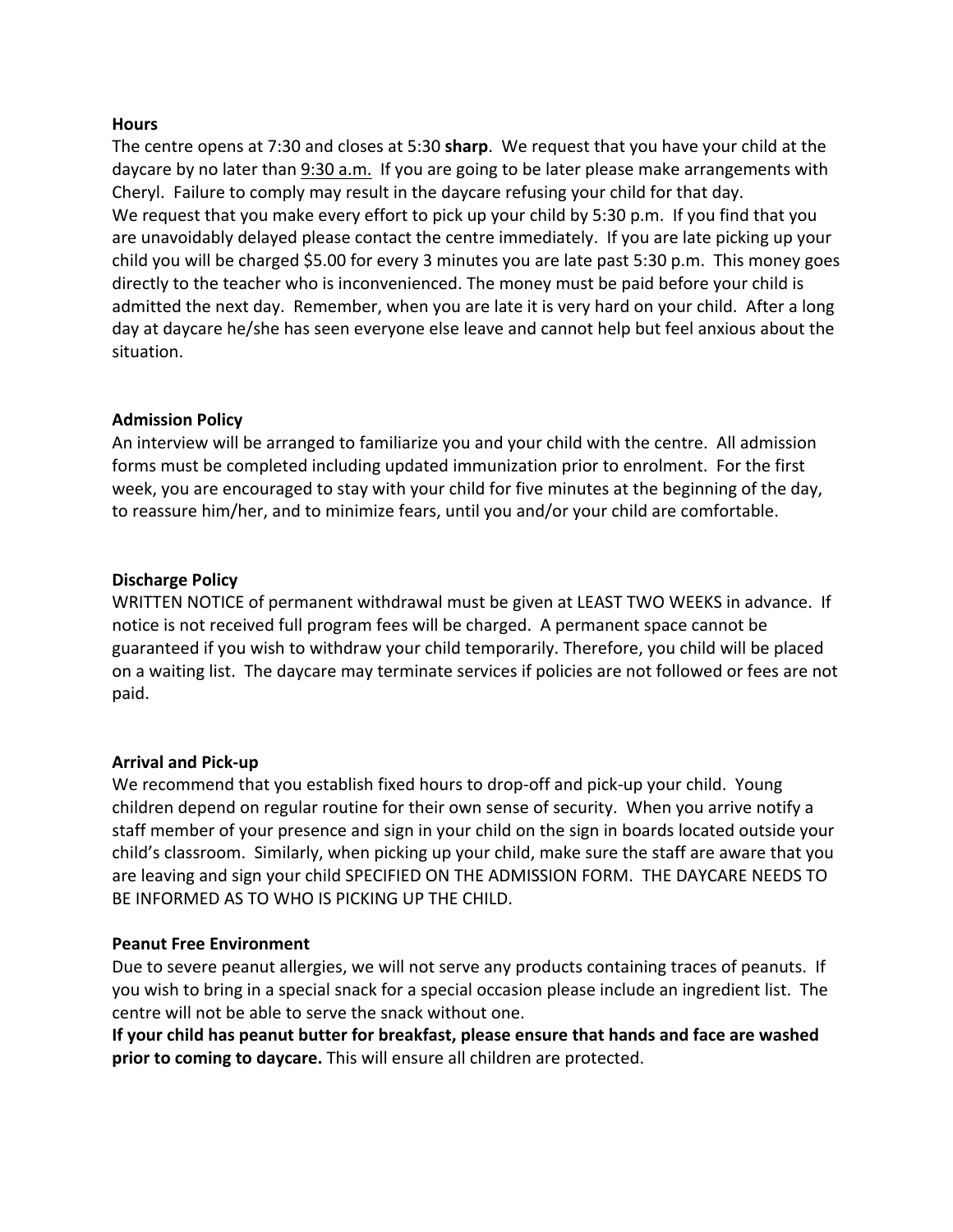#### **Hours**

The centre opens at 7:30 and closes at 5:30 **sharp**. We request that you have your child at the daycare by no later than 9:30 a.m. If you are going to be later please make arrangements with Cheryl. Failure to comply may result in the daycare refusing your child for that day. We request that you make every effort to pick up your child by 5:30 p.m. If you find that you are unavoidably delayed please contact the centre immediately. If you are late picking up your child you will be charged \$5.00 for every 3 minutes you are late past 5:30 p.m. This money goes directly to the teacher who is inconvenienced. The money must be paid before your child is admitted the next day. Remember, when you are late it is very hard on your child. After a long day at daycare he/she has seen everyone else leave and cannot help but feel anxious about the situation.

#### **Admission Policy**

An interview will be arranged to familiarize you and your child with the centre. All admission forms must be completed including updated immunization prior to enrolment. For the first week, you are encouraged to stay with your child for five minutes at the beginning of the day, to reassure him/her, and to minimize fears, until you and/or your child are comfortable.

#### **Discharge Policy**

WRITTEN NOTICE of permanent withdrawal must be given at LEAST TWO WEEKS in advance. If notice is not received full program fees will be charged. A permanent space cannot be guaranteed if you wish to withdraw your child temporarily. Therefore, you child will be placed on a waiting list. The daycare may terminate services if policies are not followed or fees are not paid.

#### **Arrival and Pick-up**

We recommend that you establish fixed hours to drop-off and pick-up your child. Young children depend on regular routine for their own sense of security. When you arrive notify a staff member of your presence and sign in your child on the sign in boards located outside your child's classroom. Similarly, when picking up your child, make sure the staff are aware that you are leaving and sign your child SPECIFIED ON THE ADMISSION FORM. THE DAYCARE NEEDS TO BE INFORMED AS TO WHO IS PICKING UP THE CHILD.

#### **Peanut Free Environment**

Due to severe peanut allergies, we will not serve any products containing traces of peanuts. If you wish to bring in a special snack for a special occasion please include an ingredient list. The centre will not be able to serve the snack without one.

If your child has peanut butter for breakfast, please ensure that hands and face are washed **prior to coming to daycare.** This will ensure all children are protected.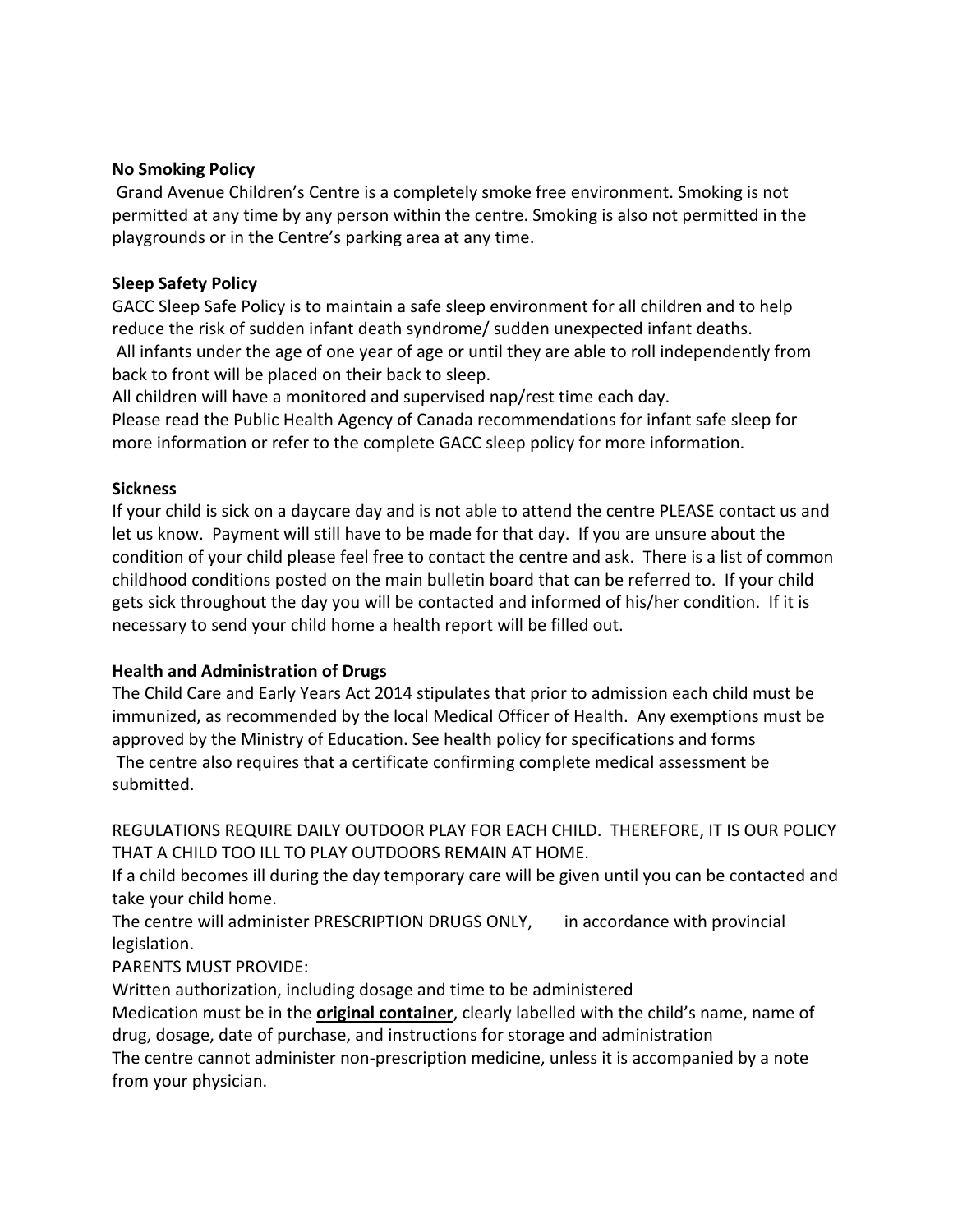#### **No Smoking Policy**

Grand Avenue Children's Centre is a completely smoke free environment. Smoking is not permitted at any time by any person within the centre. Smoking is also not permitted in the playgrounds or in the Centre's parking area at any time.

#### **Sleep Safety Policy**

GACC Sleep Safe Policy is to maintain a safe sleep environment for all children and to help reduce the risk of sudden infant death syndrome/ sudden unexpected infant deaths. All infants under the age of one year of age or until they are able to roll independently from back to front will be placed on their back to sleep.

All children will have a monitored and supervised nap/rest time each day.

Please read the Public Health Agency of Canada recommendations for infant safe sleep for more information or refer to the complete GACC sleep policy for more information.

#### **Sickness**

If your child is sick on a daycare day and is not able to attend the centre PLEASE contact us and let us know. Payment will still have to be made for that day. If you are unsure about the condition of your child please feel free to contact the centre and ask. There is a list of common childhood conditions posted on the main bulletin board that can be referred to. If your child gets sick throughout the day you will be contacted and informed of his/her condition. If it is necessary to send your child home a health report will be filled out.

#### **Health and Administration of Drugs**

The Child Care and Early Years Act 2014 stipulates that prior to admission each child must be immunized, as recommended by the local Medical Officer of Health. Any exemptions must be approved by the Ministry of Education. See health policy for specifications and forms The centre also requires that a certificate confirming complete medical assessment be submitted.

REGULATIONS REQUIRE DAILY OUTDOOR PLAY FOR EACH CHILD. THEREFORE, IT IS OUR POLICY THAT A CHILD TOO ILL TO PLAY OUTDOORS REMAIN AT HOME.

If a child becomes ill during the day temporary care will be given until you can be contacted and take your child home.

The centre will administer PRESCRIPTION DRUGS ONLY, in accordance with provincial legislation. 

#### PARENTS MUST PROVIDE:

Written authorization, including dosage and time to be administered

Medication must be in the **original container**, clearly labelled with the child's name, name of drug, dosage, date of purchase, and instructions for storage and administration

The centre cannot administer non-prescription medicine, unless it is accompanied by a note from your physician.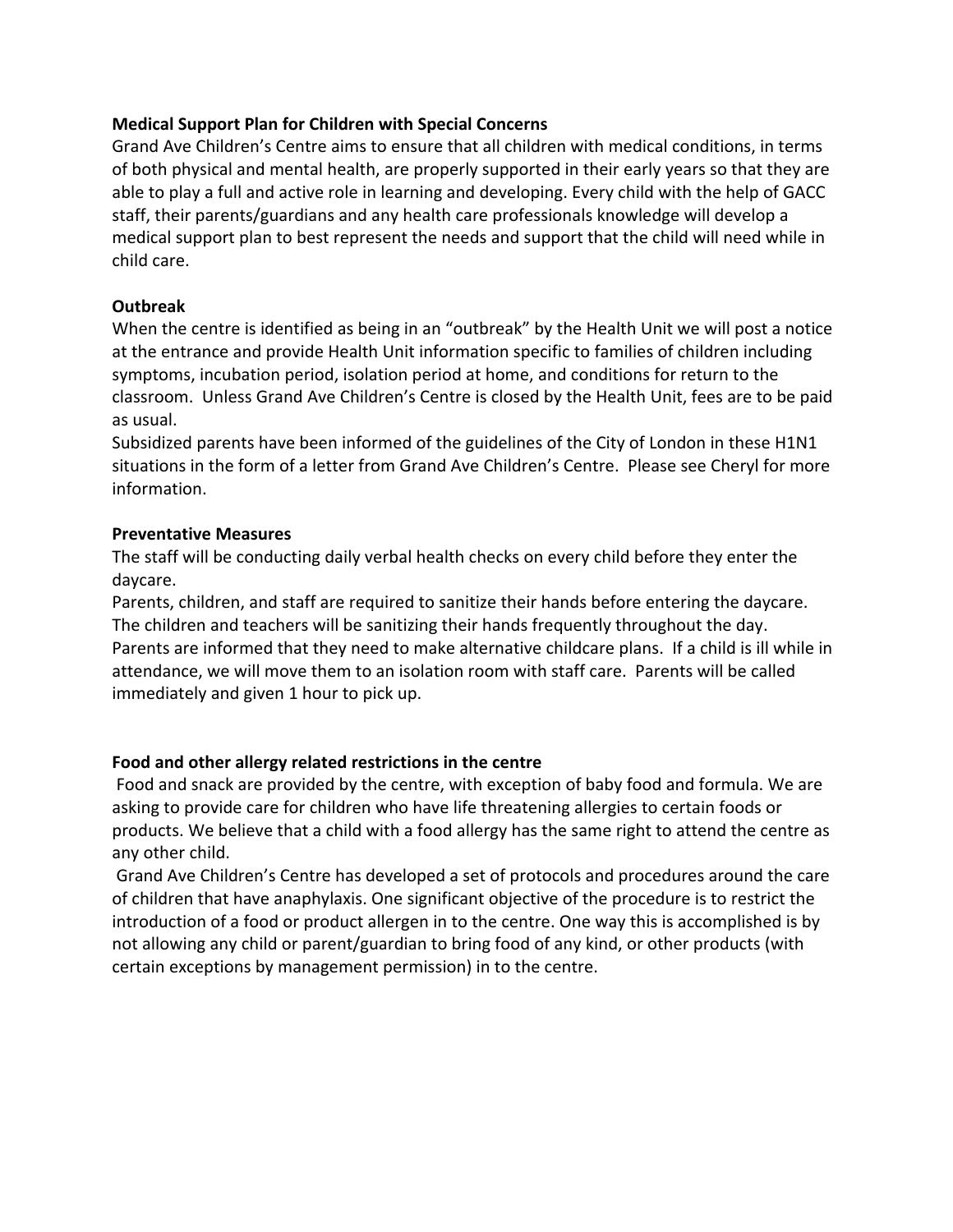#### **Medical Support Plan for Children with Special Concerns**

Grand Ave Children's Centre aims to ensure that all children with medical conditions, in terms of both physical and mental health, are properly supported in their early years so that they are able to play a full and active role in learning and developing. Every child with the help of GACC staff, their parents/guardians and any health care professionals knowledge will develop a medical support plan to best represent the needs and support that the child will need while in child care.

#### **Outbreak**

When the centre is identified as being in an "outbreak" by the Health Unit we will post a notice at the entrance and provide Health Unit information specific to families of children including symptoms, incubation period, isolation period at home, and conditions for return to the classroom. Unless Grand Ave Children's Centre is closed by the Health Unit, fees are to be paid as usual. 

Subsidized parents have been informed of the guidelines of the City of London in these H1N1 situations in the form of a letter from Grand Ave Children's Centre. Please see Cheryl for more information.

#### **Preventative Measures**

The staff will be conducting daily verbal health checks on every child before they enter the daycare.

Parents, children, and staff are required to sanitize their hands before entering the daycare. The children and teachers will be sanitizing their hands frequently throughout the day. Parents are informed that they need to make alternative childcare plans. If a child is ill while in attendance, we will move them to an isolation room with staff care. Parents will be called immediately and given 1 hour to pick up.

#### Food and other allergy related restrictions in the centre

Food and snack are provided by the centre, with exception of baby food and formula. We are asking to provide care for children who have life threatening allergies to certain foods or products. We believe that a child with a food allergy has the same right to attend the centre as any other child.

Grand Ave Children's Centre has developed a set of protocols and procedures around the care of children that have anaphylaxis. One significant objective of the procedure is to restrict the introduction of a food or product allergen in to the centre. One way this is accomplished is by not allowing any child or parent/guardian to bring food of any kind, or other products (with certain exceptions by management permission) in to the centre.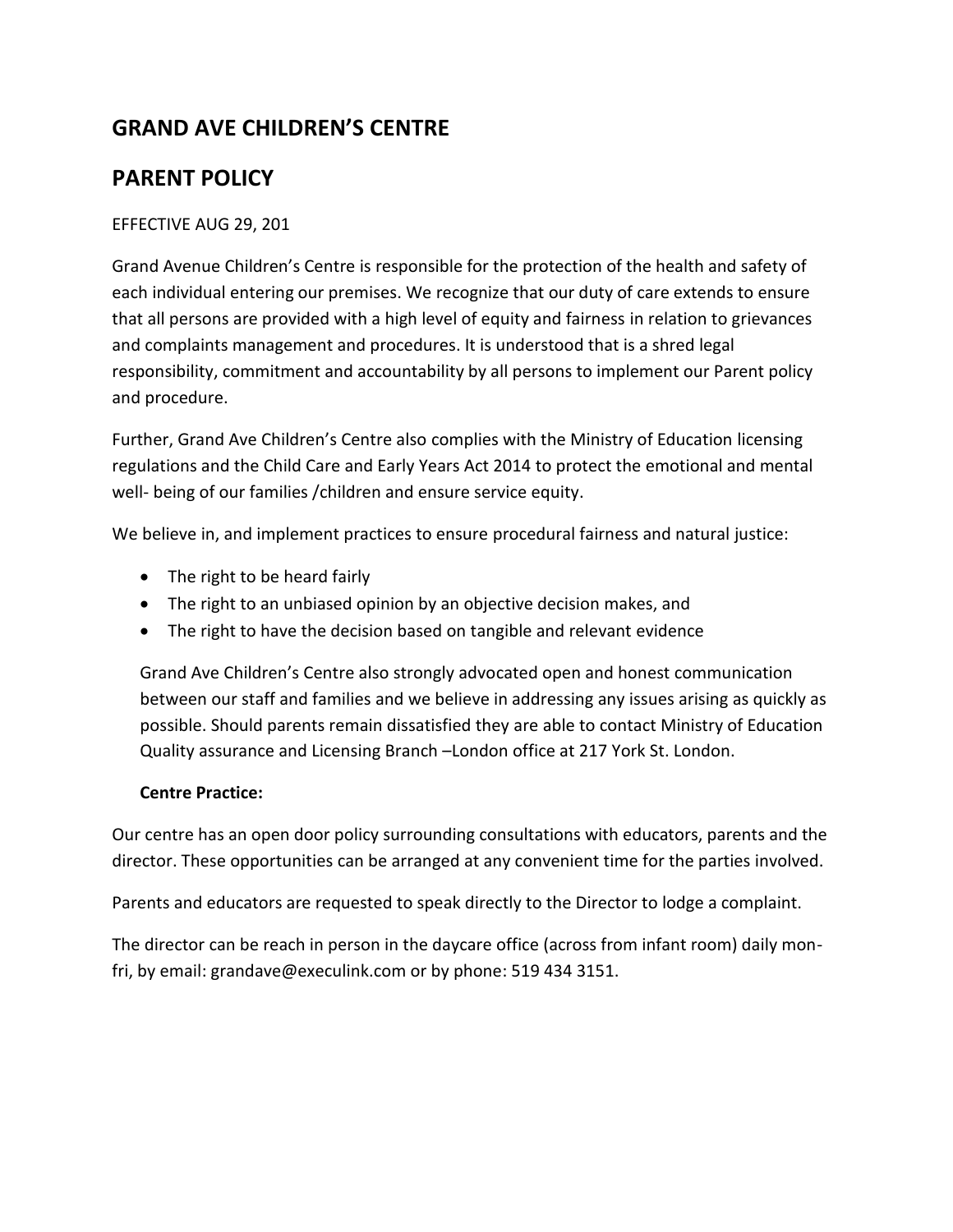## **GRAND AVE CHILDREN'S CENTRE**

## **PARENT POLICY**

#### EFFECTIVE AUG 29, 201

Grand Avenue Children's Centre is responsible for the protection of the health and safety of each individual entering our premises. We recognize that our duty of care extends to ensure that all persons are provided with a high level of equity and fairness in relation to grievances and complaints management and procedures. It is understood that is a shred legal responsibility, commitment and accountability by all persons to implement our Parent policy and procedure.

Further, Grand Ave Children's Centre also complies with the Ministry of Education licensing regulations and the Child Care and Early Years Act 2014 to protect the emotional and mental well- being of our families / children and ensure service equity.

We believe in, and implement practices to ensure procedural fairness and natural justice:

- $\bullet$  The right to be heard fairly
- The right to an unbiased opinion by an objective decision makes, and
- The right to have the decision based on tangible and relevant evidence

Grand Ave Children's Centre also strongly advocated open and honest communication between our staff and families and we believe in addressing any issues arising as quickly as possible. Should parents remain dissatisfied they are able to contact Ministry of Education Quality assurance and Licensing Branch –London office at 217 York St. London.

#### **Centre Practice:**

Our centre has an open door policy surrounding consultations with educators, parents and the director. These opportunities can be arranged at any convenient time for the parties involved.

Parents and educators are requested to speak directly to the Director to lodge a complaint.

The director can be reach in person in the daycare office (across from infant room) daily monfri, by email: grandave@execulink.com or by phone: 519 434 3151.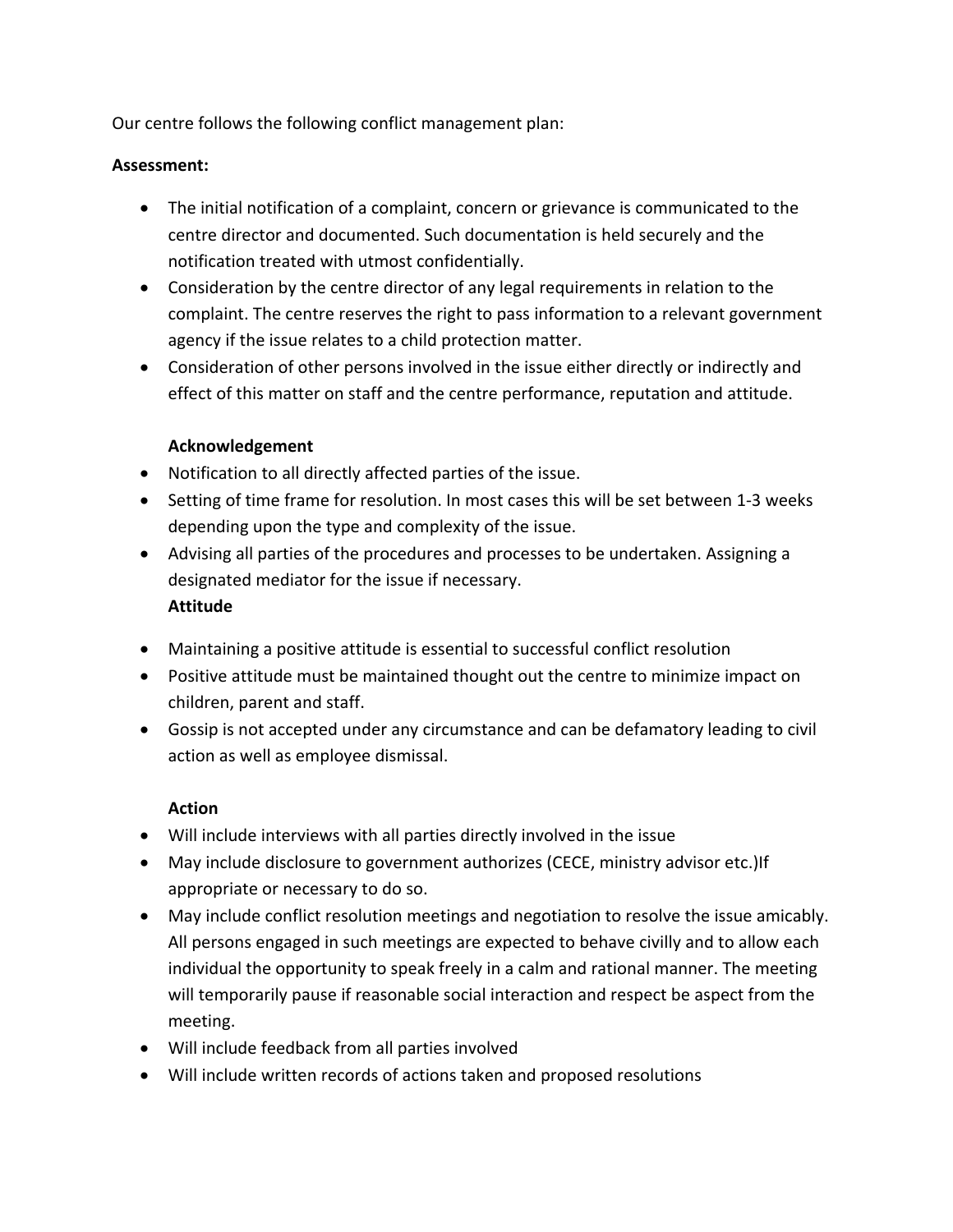Our centre follows the following conflict management plan:

#### Assessment:

- The initial notification of a complaint, concern or grievance is communicated to the centre director and documented. Such documentation is held securely and the notification treated with utmost confidentially.
- Consideration by the centre director of any legal requirements in relation to the complaint. The centre reserves the right to pass information to a relevant government agency if the issue relates to a child protection matter.
- Consideration of other persons involved in the issue either directly or indirectly and effect of this matter on staff and the centre performance, reputation and attitude.

#### **Acknowledgement**

- Notification to all directly affected parties of the issue.
- Setting of time frame for resolution. In most cases this will be set between 1-3 weeks depending upon the type and complexity of the issue.
- Advising all parties of the procedures and processes to be undertaken. Assigning a designated mediator for the issue if necessary. **Attitude**
- Maintaining a positive attitude is essential to successful conflict resolution
- Positive attitude must be maintained thought out the centre to minimize impact on children, parent and staff.
- Gossip is not accepted under any circumstance and can be defamatory leading to civil action as well as employee dismissal.

#### **Action**

- Will include interviews with all parties directly involved in the issue
- May include disclosure to government authorizes (CECE, ministry advisor etc.)If appropriate or necessary to do so.
- May include conflict resolution meetings and negotiation to resolve the issue amicably. All persons engaged in such meetings are expected to behave civilly and to allow each individual the opportunity to speak freely in a calm and rational manner. The meeting will temporarily pause if reasonable social interaction and respect be aspect from the meeting.
- Will include feedback from all parties involved
- Will include written records of actions taken and proposed resolutions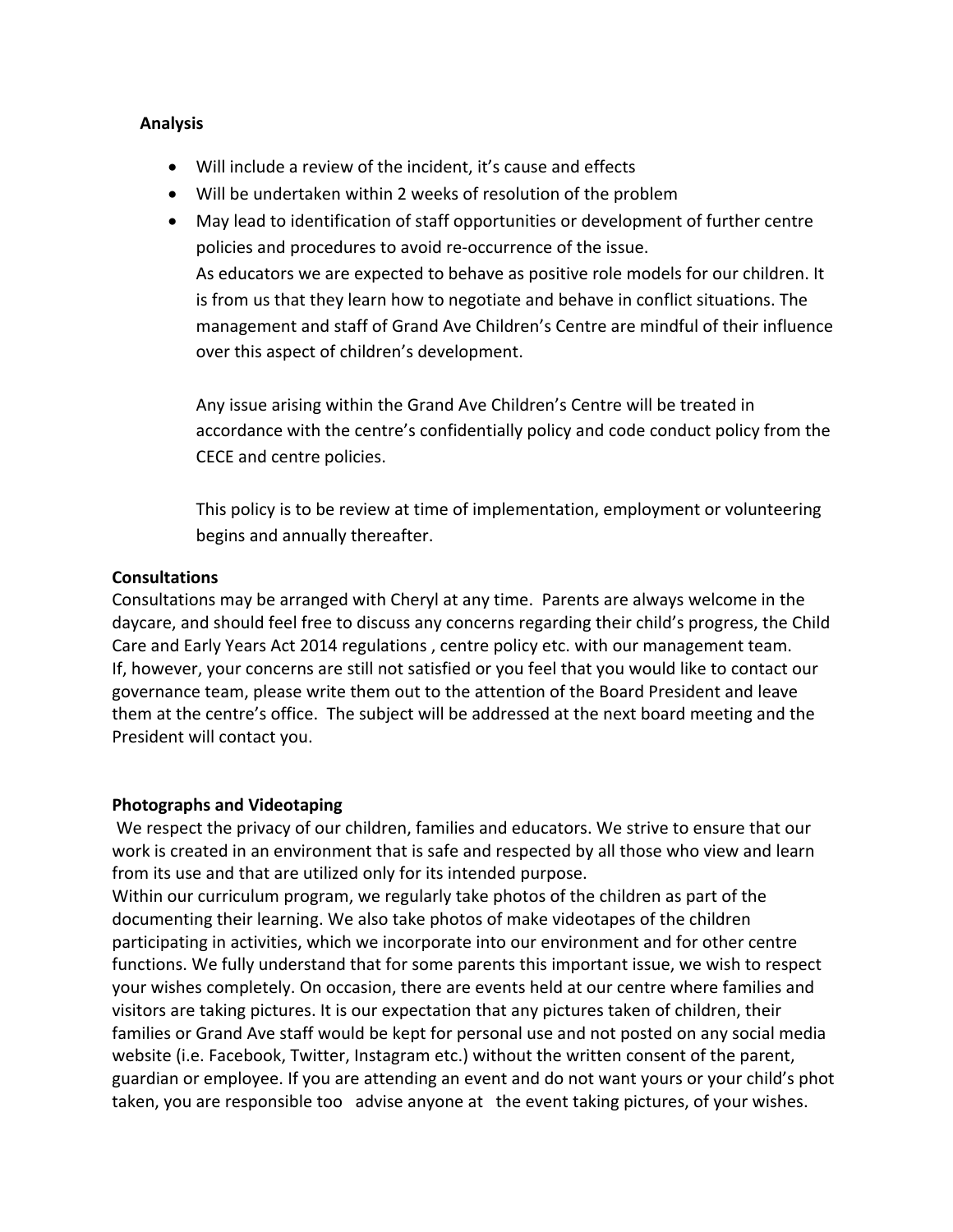#### **Analysis**

- Will include a review of the incident, it's cause and effects
- Will be undertaken within 2 weeks of resolution of the problem
- May lead to identification of staff opportunities or development of further centre policies and procedures to avoid re-occurrence of the issue. As educators we are expected to behave as positive role models for our children. It is from us that they learn how to negotiate and behave in conflict situations. The management and staff of Grand Ave Children's Centre are mindful of their influence over this aspect of children's development.

Any issue arising within the Grand Ave Children's Centre will be treated in accordance with the centre's confidentially policy and code conduct policy from the CECE and centre policies.

This policy is to be review at time of implementation, employment or volunteering begins and annually thereafter.

#### **Consultations**

Consultations may be arranged with Cheryl at any time. Parents are always welcome in the daycare, and should feel free to discuss any concerns regarding their child's progress, the Child Care and Early Years Act 2014 regulations, centre policy etc. with our management team. If, however, your concerns are still not satisfied or you feel that you would like to contact our governance team, please write them out to the attention of the Board President and leave them at the centre's office. The subject will be addressed at the next board meeting and the President will contact you.

#### **Photographs and Videotaping**

We respect the privacy of our children, families and educators. We strive to ensure that our work is created in an environment that is safe and respected by all those who view and learn from its use and that are utilized only for its intended purpose.

Within our curriculum program, we regularly take photos of the children as part of the documenting their learning. We also take photos of make videotapes of the children participating in activities, which we incorporate into our environment and for other centre functions. We fully understand that for some parents this important issue, we wish to respect your wishes completely. On occasion, there are events held at our centre where families and visitors are taking pictures. It is our expectation that any pictures taken of children, their families or Grand Ave staff would be kept for personal use and not posted on any social media website (i.e. Facebook, Twitter, Instagram etc.) without the written consent of the parent, guardian or employee. If you are attending an event and do not want yours or your child's phot taken, you are responsible too advise anyone at the event taking pictures, of your wishes.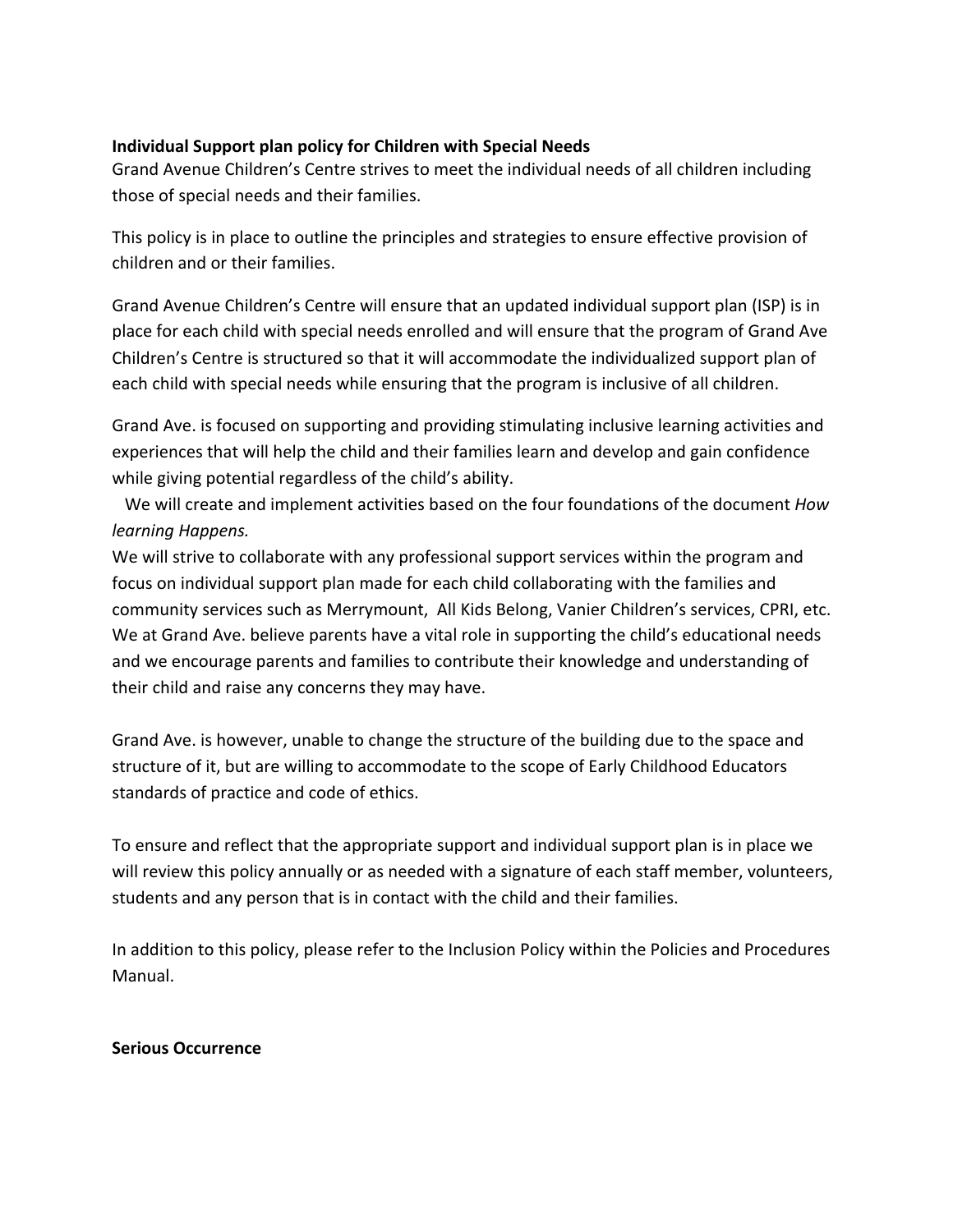#### **Individual Support plan policy for Children with Special Needs**

Grand Avenue Children's Centre strives to meet the individual needs of all children including those of special needs and their families.

This policy is in place to outline the principles and strategies to ensure effective provision of children and or their families.

Grand Avenue Children's Centre will ensure that an updated individual support plan (ISP) is in place for each child with special needs enrolled and will ensure that the program of Grand Ave Children's Centre is structured so that it will accommodate the individualized support plan of each child with special needs while ensuring that the program is inclusive of all children.

Grand Ave. is focused on supporting and providing stimulating inclusive learning activities and experiences that will help the child and their families learn and develop and gain confidence while giving potential regardless of the child's ability.

We will create and implement activities based on the four foundations of the document *How learning Happens.*

We will strive to collaborate with any professional support services within the program and focus on individual support plan made for each child collaborating with the families and community services such as Merrymount, All Kids Belong, Vanier Children's services, CPRI, etc. We at Grand Ave. believe parents have a vital role in supporting the child's educational needs and we encourage parents and families to contribute their knowledge and understanding of their child and raise any concerns they may have.

Grand Ave. is however, unable to change the structure of the building due to the space and structure of it, but are willing to accommodate to the scope of Early Childhood Educators standards of practice and code of ethics.

To ensure and reflect that the appropriate support and individual support plan is in place we will review this policy annually or as needed with a signature of each staff member, volunteers, students and any person that is in contact with the child and their families.

In addition to this policy, please refer to the Inclusion Policy within the Policies and Procedures Manual. 

#### **Serious Occurrence**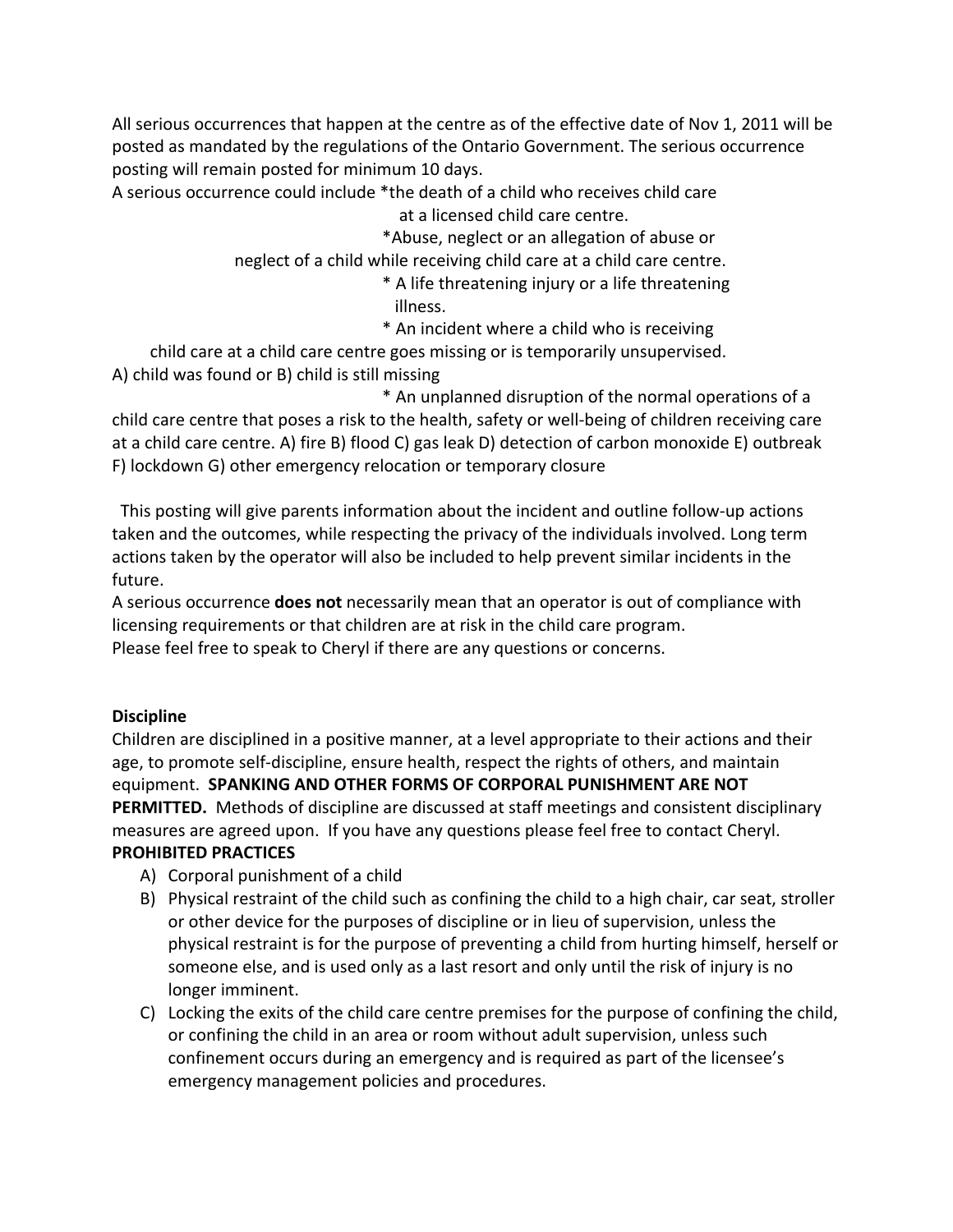All serious occurrences that happen at the centre as of the effective date of Nov 1, 2011 will be posted as mandated by the regulations of the Ontario Government. The serious occurrence posting will remain posted for minimum 10 days.

A serious occurrence could include \*the death of a child who receives child care at a licensed child care centre.

 \*Abuse, neglect or an allegation of abuse or 

neglect of a child while receiving child care at a child care centre.

- \* A life threatening injury or a life threatening illness.
- \* An incident where a child who is receiving

child care at a child care centre goes missing or is temporarily unsupervised. A) child was found or B) child is still missing

 \* An unplanned disruption of the normal operations of a child care centre that poses a risk to the health, safety or well-being of children receiving care at a child care centre. A) fire B) flood C) gas leak D) detection of carbon monoxide E) outbreak F) lockdown G) other emergency relocation or temporary closure

This posting will give parents information about the incident and outline follow-up actions taken and the outcomes, while respecting the privacy of the individuals involved. Long term actions taken by the operator will also be included to help prevent similar incidents in the future.

A serious occurrence **does not** necessarily mean that an operator is out of compliance with licensing requirements or that children are at risk in the child care program.

Please feel free to speak to Cheryl if there are any questions or concerns.

#### **Discipline**

Children are disciplined in a positive manner, at a level appropriate to their actions and their age, to promote self-discipline, ensure health, respect the rights of others, and maintain equipment. SPANKING AND OTHER FORMS OF CORPORAL PUNISHMENT ARE NOT **PERMITTED.** Methods of discipline are discussed at staff meetings and consistent disciplinary measures are agreed upon. If you have any questions please feel free to contact Cheryl. **PROHIBITED PRACTICES**

- A) Corporal punishment of a child
- B) Physical restraint of the child such as confining the child to a high chair, car seat, stroller or other device for the purposes of discipline or in lieu of supervision, unless the physical restraint is for the purpose of preventing a child from hurting himself, herself or someone else, and is used only as a last resort and only until the risk of injury is no longer imminent.
- C) Locking the exits of the child care centre premises for the purpose of confining the child, or confining the child in an area or room without adult supervision, unless such confinement occurs during an emergency and is required as part of the licensee's emergency management policies and procedures.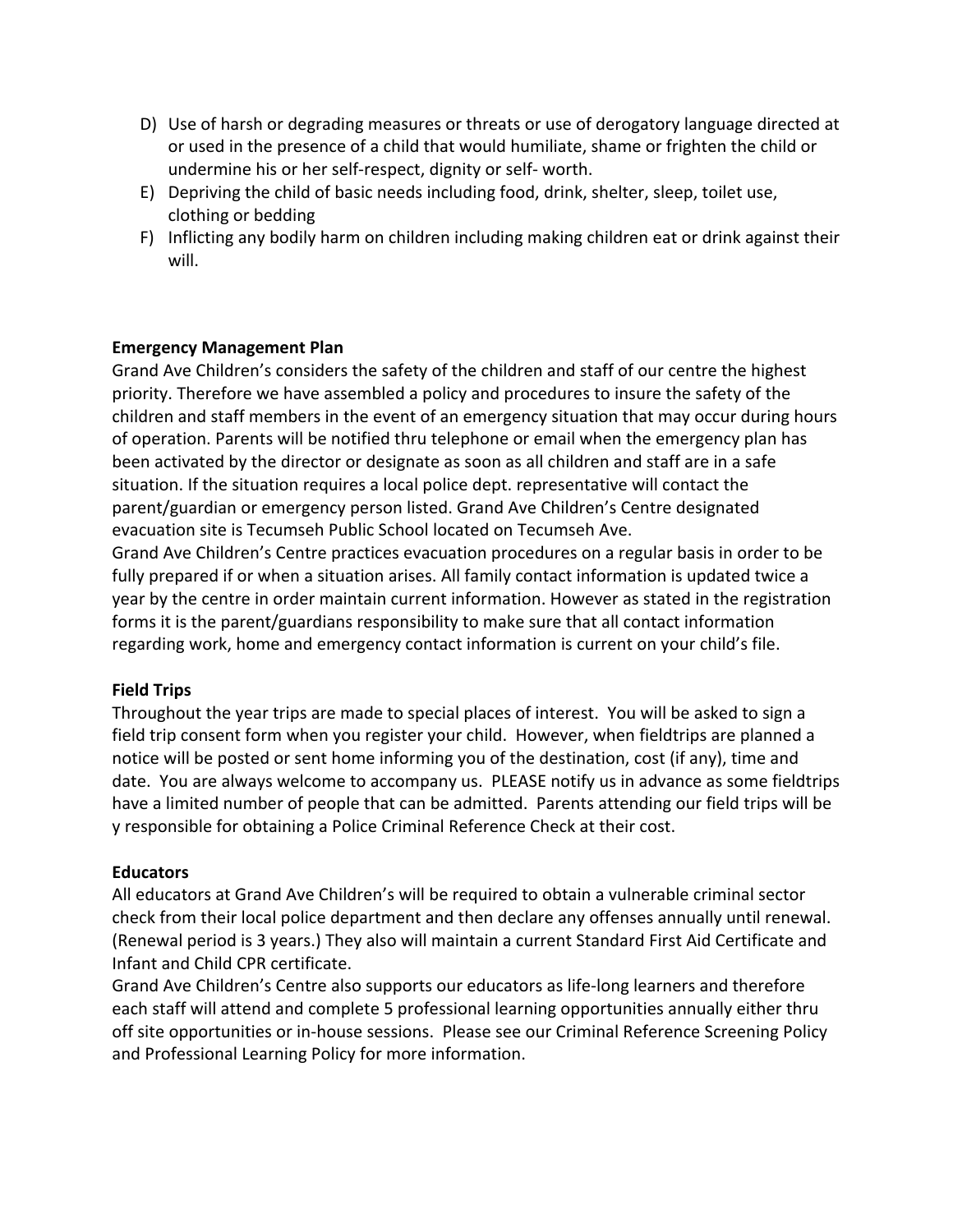- D) Use of harsh or degrading measures or threats or use of derogatory language directed at or used in the presence of a child that would humiliate, shame or frighten the child or undermine his or her self-respect, dignity or self- worth.
- $E$ ) Depriving the child of basic needs including food, drink, shelter, sleep, toilet use, clothing or bedding
- F) Inflicting any bodily harm on children including making children eat or drink against their will.

#### **Emergency Management Plan**

Grand Ave Children's considers the safety of the children and staff of our centre the highest priority. Therefore we have assembled a policy and procedures to insure the safety of the children and staff members in the event of an emergency situation that may occur during hours of operation. Parents will be notified thru telephone or email when the emergency plan has been activated by the director or designate as soon as all children and staff are in a safe situation. If the situation requires a local police dept. representative will contact the parent/guardian or emergency person listed. Grand Ave Children's Centre designated evacuation site is Tecumseh Public School located on Tecumseh Ave.

Grand Ave Children's Centre practices evacuation procedures on a regular basis in order to be fully prepared if or when a situation arises. All family contact information is updated twice a year by the centre in order maintain current information. However as stated in the registration forms it is the parent/guardians responsibility to make sure that all contact information regarding work, home and emergency contact information is current on your child's file.

#### **Field Trips**

Throughout the year trips are made to special places of interest. You will be asked to sign a field trip consent form when you register your child. However, when fieldtrips are planned a notice will be posted or sent home informing you of the destination, cost (if any), time and date. You are always welcome to accompany us. PLEASE notify us in advance as some fieldtrips have a limited number of people that can be admitted. Parents attending our field trips will be y responsible for obtaining a Police Criminal Reference Check at their cost.

#### **Educators**

All educators at Grand Ave Children's will be required to obtain a vulnerable criminal sector check from their local police department and then declare any offenses annually until renewal. (Renewal period is 3 years.) They also will maintain a current Standard First Aid Certificate and Infant and Child CPR certificate.

Grand Ave Children's Centre also supports our educators as life-long learners and therefore each staff will attend and complete 5 professional learning opportunities annually either thru off site opportunities or in-house sessions. Please see our Criminal Reference Screening Policy and Professional Learning Policy for more information.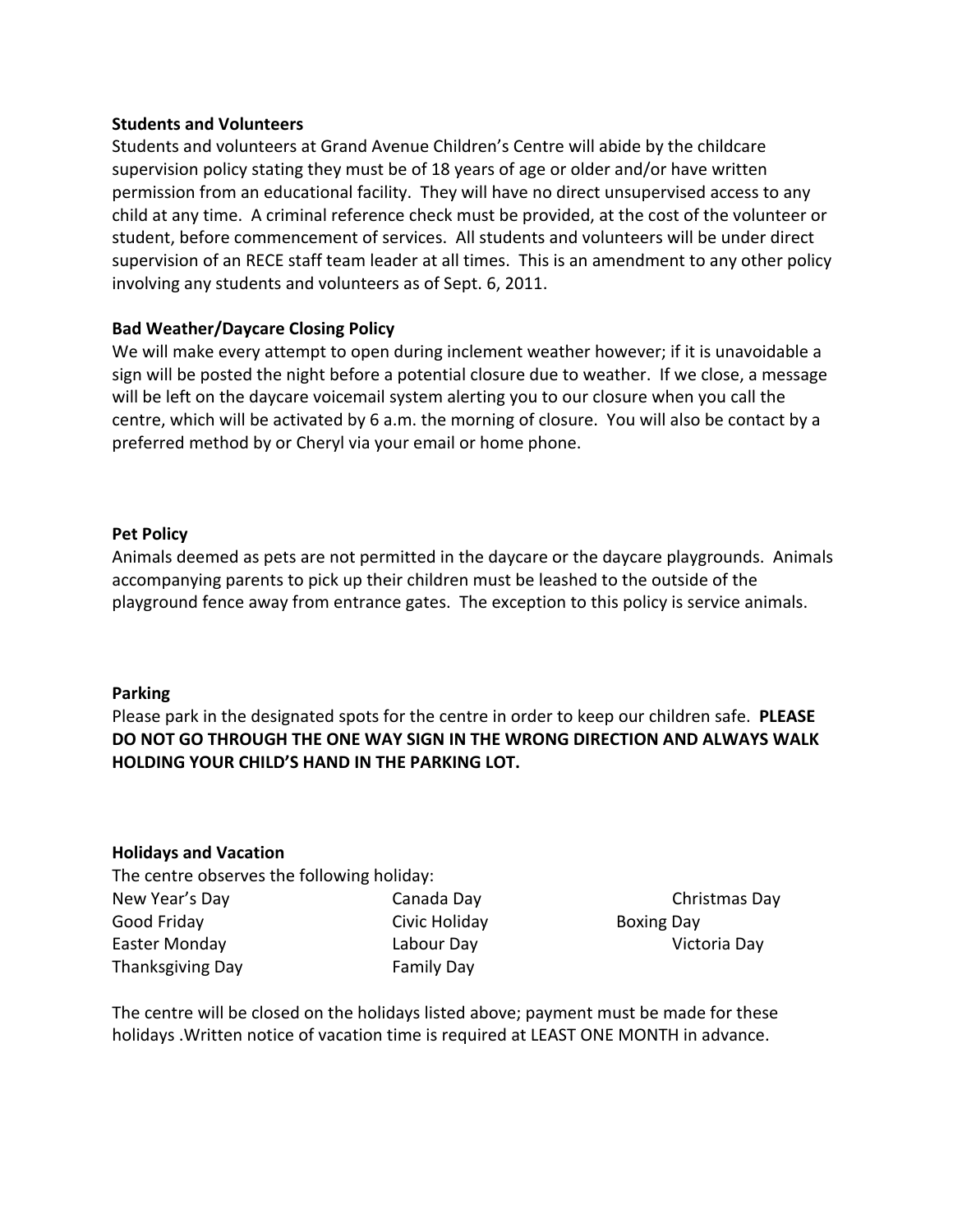#### **Students and Volunteers**

Students and volunteers at Grand Avenue Children's Centre will abide by the childcare supervision policy stating they must be of 18 years of age or older and/or have written permission from an educational facility. They will have no direct unsupervised access to any child at any time. A criminal reference check must be provided, at the cost of the volunteer or student, before commencement of services. All students and volunteers will be under direct supervision of an RECE staff team leader at all times. This is an amendment to any other policy involving any students and volunteers as of Sept. 6, 2011.

#### **Bad Weather/Daycare Closing Policy**

We will make every attempt to open during inclement weather however; if it is unavoidable a sign will be posted the night before a potential closure due to weather. If we close, a message will be left on the daycare voicemail system alerting you to our closure when you call the centre, which will be activated by 6 a.m. the morning of closure. You will also be contact by a preferred method by or Cheryl via your email or home phone.

#### **Pet Policy**

Animals deemed as pets are not permitted in the daycare or the daycare playgrounds. Animals accompanying parents to pick up their children must be leashed to the outside of the playground fence away from entrance gates. The exception to this policy is service animals.

#### **Parking**

Please park in the designated spots for the centre in order to keep our children safe. PLEASE DO NOT GO THROUGH THE ONE WAY SIGN IN THE WRONG DIRECTION AND ALWAYS WALK **HOLDING YOUR CHILD'S HAND IN THE PARKING LOT.** 

#### **Holidays and Vacation**

The centre observes the following holiday: New Year's Day **Canada Day** Canada Day **Christmas** Day Good Friday **Civic Holiday** Civic Holiday **Boxing Day** Easter Monday **Labour Day** Caster Monday **Network** Labour Day Thanksgiving Day **Family Day** 

The centre will be closed on the holidays listed above; payment must be made for these holidays . Written notice of vacation time is required at LEAST ONE MONTH in advance.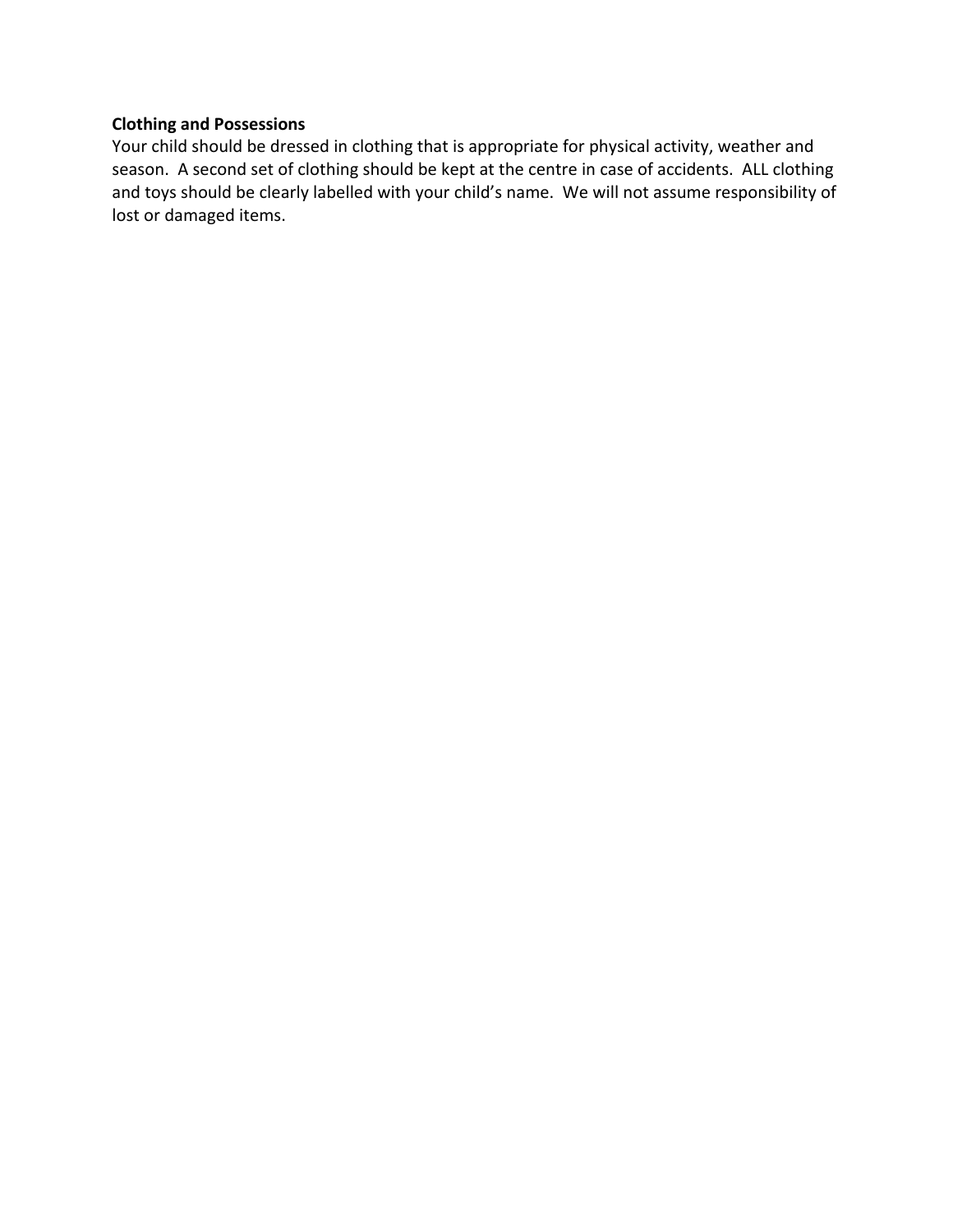#### **Clothing and Possessions**

Your child should be dressed in clothing that is appropriate for physical activity, weather and season. A second set of clothing should be kept at the centre in case of accidents. ALL clothing and toys should be clearly labelled with your child's name. We will not assume responsibility of lost or damaged items.